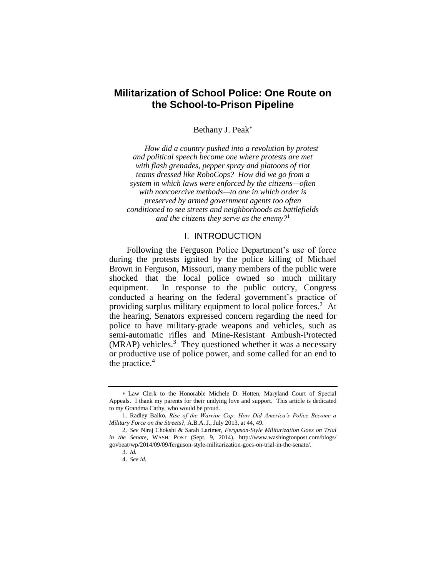# **Militarization of School Police: One Route on the School-to-Prison Pipeline**

Bethany J. Peak

*How did a country pushed into a revolution by protest and political speech become one where protests are met with flash grenades, pepper spray and platoons of riot teams dressed like RoboCops? How did we go from a system in which laws were enforced by the citizens—often with noncoercive methods—to one in which order is preserved by armed government agents too often conditioned to see streets and neighborhoods as battlefields and the citizens they serve as the enemy?*<sup>1</sup>

## I. INTRODUCTION

Following the Ferguson Police Department's use of force during the protests ignited by the police killing of Michael Brown in Ferguson, Missouri, many members of the public were shocked that the local police owned so much military equipment. In response to the public outcry, Congress conducted a hearing on the federal government's practice of providing surplus military equipment to local police forces.<sup>2</sup> At the hearing, Senators expressed concern regarding the need for police to have military-grade weapons and vehicles, such as semi-automatic rifles and Mine-Resistant Ambush-Protected  $(MRAP)$  vehicles.<sup>3</sup> They questioned whether it was a necessary or productive use of police power, and some called for an end to the practice. $4$ 

Law Clerk to the Honorable Michele D. Hotten, Maryland Court of Special Appeals. I thank my parents for their undying love and support. This article is dedicated to my Grandma Cathy, who would be proud.

<sup>1.</sup> Radley Balko, *Rise of the Warrior Cop: How Did America's Police Become a Military Force on the Streets?*, A.B.A. J., July 2013, at 44, 49.

<sup>2.</sup> *See* Niraj Chokshi & Sarah Larimer, *Ferguson-Style Militarization Goes on Trial in the Senate*, WASH. POST (Sept. 9, 2014), http://www.washingtonpost.com/blogs/ govbeat/wp/2014/09/09/ferguson-style-militarization-goes-on-trial-in-the-senate/.

<sup>3.</sup> *Id.*

<sup>4.</sup> *See id.*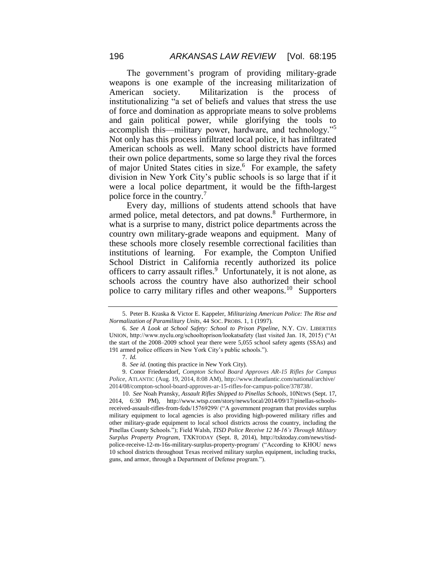The government's program of providing military-grade weapons is one example of the increasing militarization of American society. Militarization is the process of institutionalizing "a set of beliefs and values that stress the use of force and domination as appropriate means to solve problems and gain political power, while glorifying the tools to accomplish this—military power, hardware, and technology."<sup>5</sup> Not only has this process infiltrated local police, it has infiltrated American schools as well. Many school districts have formed their own police departments, some so large they rival the forces of major United States cities in size.<sup>6</sup> For example, the safety division in New York City's public schools is so large that if it were a local police department, it would be the fifth-largest police force in the country.<sup>7</sup>

Every day, millions of students attend schools that have armed police, metal detectors, and pat downs.<sup>8</sup> Furthermore, in what is a surprise to many, district police departments across the country own military-grade weapons and equipment. Many of these schools more closely resemble correctional facilities than institutions of learning. For example, the Compton Unified School District in California recently authorized its police officers to carry assault rifles.<sup>9</sup> Unfortunately, it is not alone, as schools across the country have also authorized their school police to carry military rifles and other weapons.<sup>10</sup> Supporters

10. *See* Noah Pransky, *Assault Rifles Shipped to Pinellas Schools*, 10NEWS (Sept. 17, 2014, 6:30 PM), http://www.wtsp.com/story/news/local/2014/09/17/pinellas-schoolsreceived-assault-rifles-from-feds/15769299/ ("A government program that provides surplus military equipment to local agencies is also providing high-powered military rifles and other military-grade equipment to local school districts across the country, including the Pinellas County Schools."); Field Walsh, *TISD Police Receive 12 M-16's Through Military Surplus Property Program*, TXKTODAY (Sept. 8, 2014), http://txktoday.com/news/tisdpolice-receive-12-m-16s-military-surplus-property-program/ ("According to KHOU news 10 school districts throughout Texas received military surplus equipment, including trucks, guns, and armor, through a Department of Defense program.").

<sup>5.</sup> Peter B. Kraska & Victor E. Kappeler, *Militarizing American Police: The Rise and Normalization of Paramilitary Units*, 44 SOC. PROBS. 1, 1 (1997).

<sup>6.</sup> *See A Look at School Safety: School to Prison Pipeline*, N.Y. CIV. LIBERTIES UNION, http://www.nyclu.org/schooltoprison/lookatsafety (last visited Jan. 18, 2015) ("At the start of the 2008–2009 school year there were 5,055 school safety agents (SSAs) and 191 armed police officers in New York City's public schools.").

<sup>7.</sup> *Id.*

<sup>8.</sup> *See id.* (noting this practice in New York City).

<sup>9.</sup> Conor Friedersdorf, *Compton School Board Approves AR-15 Rifles for Campus Police*, ATLANTIC (Aug. 19, 2014, 8:08 AM), http://www.theatlantic.com/national/archive/ 2014/08/compton-school-board-approves-ar-15-rifles-for-campus-police/378738/.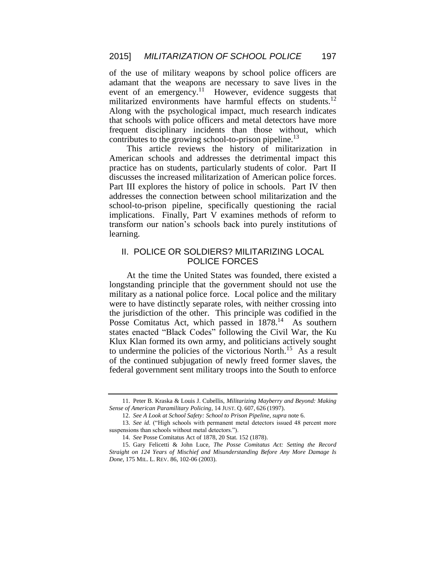of the use of military weapons by school police officers are adamant that the weapons are necessary to save lives in the event of an emergency.<sup>11</sup> However, evidence suggests that militarized environments have harmful effects on students.<sup>12</sup> Along with the psychological impact, much research indicates that schools with police officers and metal detectors have more frequent disciplinary incidents than those without, which contributes to the growing school-to-prison pipeline.<sup>13</sup>

This article reviews the history of militarization in American schools and addresses the detrimental impact this practice has on students, particularly students of color. Part II discusses the increased militarization of American police forces. Part III explores the history of police in schools. Part IV then addresses the connection between school militarization and the school-to-prison pipeline, specifically questioning the racial implications. Finally, Part V examines methods of reform to transform our nation's schools back into purely institutions of learning.

## II. POLICE OR SOLDIERS? MILITARIZING LOCAL POLICE FORCES

At the time the United States was founded, there existed a longstanding principle that the government should not use the military as a national police force. Local police and the military were to have distinctly separate roles, with neither crossing into the jurisdiction of the other. This principle was codified in the Posse Comitatus Act, which passed in 1878.<sup>14</sup> As southern states enacted "Black Codes" following the Civil War, the Ku Klux Klan formed its own army, and politicians actively sought to undermine the policies of the victorious North.<sup>15</sup> As a result of the continued subjugation of newly freed former slaves, the federal government sent military troops into the South to enforce

<sup>11.</sup> Peter B. Kraska & Louis J. Cubellis, *Militarizing Mayberry and Beyond: Making Sense of American Paramilitary Policing*, 14 JUST. Q. 607, 626 (1997).

<sup>12.</sup> *See A Look at School Safety: School to Prison Pipeline*, *supra* note 6.

<sup>13.</sup> *See id.* ("High schools with permanent metal detectors issued 48 percent more suspensions than schools without metal detectors.").

<sup>14.</sup> *See* Posse Comitatus Act of 1878, 20 Stat. 152 (1878).

<sup>15.</sup> Gary Felicetti & John Luce, *The Posse Comitatus Act: Setting the Record Straight on 124 Years of Mischief and Misunderstanding Before Any More Damage Is Done*, 175 MIL. L. REV. 86, 102-06 (2003).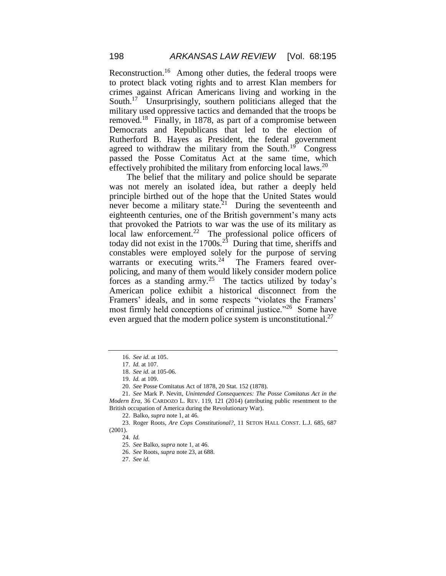Reconstruction.<sup>16</sup> Among other duties, the federal troops were to protect black voting rights and to arrest Klan members for crimes against African Americans living and working in the South.<sup>17</sup> Unsurprisingly, southern politicians alleged that the military used oppressive tactics and demanded that the troops be removed.<sup>18</sup> Finally, in 1878, as part of a compromise between Democrats and Republicans that led to the election of Rutherford B. Hayes as President, the federal government agreed to withdraw the military from the South.<sup>19</sup> Congress passed the Posse Comitatus Act at the same time, which effectively prohibited the military from enforcing local laws.<sup>20</sup>

The belief that the military and police should be separate was not merely an isolated idea, but rather a deeply held principle birthed out of the hope that the United States would never become a military state.<sup>21</sup> During the seventeenth and eighteenth centuries, one of the British government's many acts that provoked the Patriots to war was the use of its military as local law enforcement.<sup>22</sup> The professional police officers of today did not exist in the  $1700s<sup>23</sup>$  During that time, sheriffs and constables were employed solely for the purpose of serving warrants or executing writs. $24$  The Framers feared overpolicing, and many of them would likely consider modern police forces as a standing army.<sup>25</sup> The tactics utilized by today's American police exhibit a historical disconnect from the Framers' ideals, and in some respects "violates the Framers' most firmly held conceptions of criminal justice."<sup>26</sup> Some have even argued that the modern police system is unconstitutional.<sup>27</sup>

27. *See id.*

<sup>16.</sup> *See id.* at 105.

<sup>17.</sup> *Id.* at 107.

<sup>18.</sup> *See id.* at 105-06.

<sup>19.</sup> *Id.* at 109.

<sup>20.</sup> *See* Posse Comitatus Act of 1878, 20 Stat. 152 (1878).

<sup>21.</sup> *See* Mark P. Nevitt, *Unintended Consequences: The Posse Comitatus Act in the Modern Era*, 36 CARDOZO L. REV. 119, 121 (2014) (attributing public resentment to the British occupation of America during the Revolutionary War).

<sup>22.</sup> Balko, *supra* note 1, at 46.

<sup>23.</sup> Roger Roots, *Are Cops Constitutional?*, 11 SETON HALL CONST. L.J. 685, 687 (2001).

<sup>24.</sup> *Id.*

<sup>25.</sup> *See* Balko, *supra* note 1, at 46.

<sup>26.</sup> *See* Roots, *supra* note 23, at 688.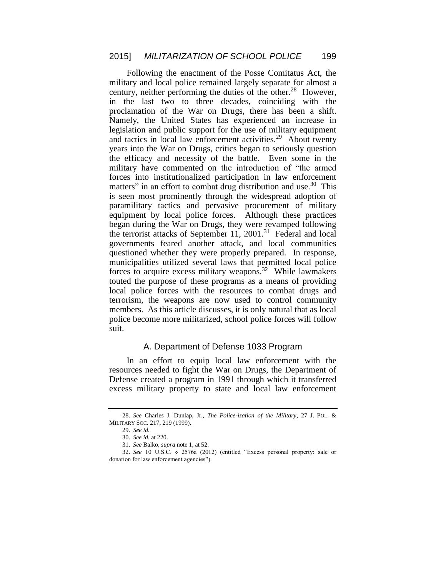Following the enactment of the Posse Comitatus Act, the military and local police remained largely separate for almost a century, neither performing the duties of the other.<sup>28</sup> However, in the last two to three decades, coinciding with the proclamation of the War on Drugs, there has been a shift. Namely, the United States has experienced an increase in legislation and public support for the use of military equipment and tactics in local law enforcement activities.<sup>29</sup> About twenty years into the War on Drugs, critics began to seriously question the efficacy and necessity of the battle. Even some in the military have commented on the introduction of "the armed forces into institutionalized participation in law enforcement matters" in an effort to combat drug distribution and use.<sup>30</sup> This is seen most prominently through the widespread adoption of paramilitary tactics and pervasive procurement of military equipment by local police forces. Although these practices began during the War on Drugs, they were revamped following the terrorist attacks of September 11, 2001.<sup>31</sup> Federal and local governments feared another attack, and local communities questioned whether they were properly prepared. In response, municipalities utilized several laws that permitted local police forces to acquire excess military weapons.<sup>32</sup> While lawmakers touted the purpose of these programs as a means of providing local police forces with the resources to combat drugs and terrorism, the weapons are now used to control community members. As this article discusses, it is only natural that as local police become more militarized, school police forces will follow suit.

## A. Department of Defense 1033 Program

In an effort to equip local law enforcement with the resources needed to fight the War on Drugs, the Department of Defense created a program in 1991 through which it transferred excess military property to state and local law enforcement

<sup>28.</sup> *See* Charles J. Dunlap, Jr., *The Police-ization of the Military*, 27 J. POL. & MILITARY SOC. 217, 219 (1999).

<sup>29.</sup> *See id.*

<sup>30.</sup> *See id.* at 220.

<sup>31.</sup> *See* Balko, *supra* note 1, at 52.

<sup>32.</sup> *See* 10 U.S.C. § 2576a (2012) (entitled "Excess personal property: sale or donation for law enforcement agencies").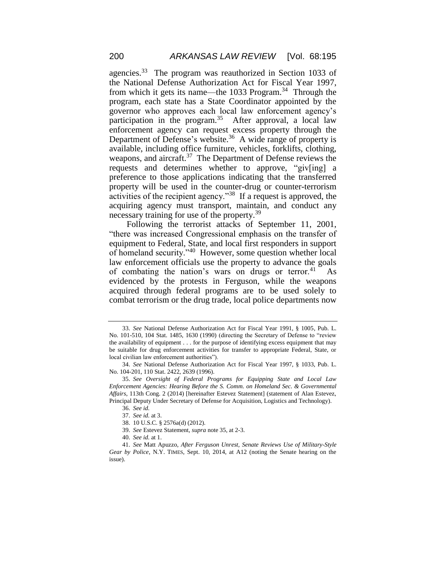agencies.<sup>33</sup> The program was reauthorized in Section 1033 of the National Defense Authorization Act for Fiscal Year 1997, from which it gets its name—the 1033 Program.<sup>34</sup> Through the program, each state has a State Coordinator appointed by the governor who approves each local law enforcement agency's participation in the program.<sup>35</sup> After approval, a local law enforcement agency can request excess property through the Department of Defense's website.<sup>36</sup> A wide range of property is available, including office furniture, vehicles, forklifts, clothing, weapons, and aircraft.<sup>37</sup> The Department of Defense reviews the requests and determines whether to approve, "giv[ing] a preference to those applications indicating that the transferred property will be used in the counter-drug or counter-terrorism activities of the recipient agency."<sup>38</sup> If a request is approved, the acquiring agency must transport, maintain, and conduct any necessary training for use of the property.<sup>39</sup>

Following the terrorist attacks of September 11, 2001, "there was increased Congressional emphasis on the transfer of equipment to Federal, State, and local first responders in support of homeland security."<sup>40</sup> However, some question whether local law enforcement officials use the property to advance the goals of combating the nation's wars on drugs or terror.<sup>41</sup> As evidenced by the protests in Ferguson, while the weapons acquired through federal programs are to be used solely to combat terrorism or the drug trade, local police departments now

<sup>33.</sup> *See* National Defense Authorization Act for Fiscal Year 1991, § 1005, Pub. L. No. 101-510, 104 Stat. 1485, 1630 (1990) (directing the Secretary of Defense to "review the availability of equipment . . . for the purpose of identifying excess equipment that may be suitable for drug enforcement activities for transfer to appropriate Federal, State, or local civilian law enforcement authorities").

<sup>34.</sup> *See* National Defense Authorization Act for Fiscal Year 1997, § 1033, Pub. L. No. 104-201, 110 Stat. 2422, 2639 (1996).

<sup>35.</sup> *See Oversight of Federal Programs for Equipping State and Local Law Enforcement Agencies: Hearing Before the S. Comm. on Homeland Sec. & Governmental Affairs*, 113th Cong. 2 (2014) [hereinafter Estevez Statement] (statement of Alan Estevez, Principal Deputy Under Secretary of Defense for Acquisition, Logistics and Technology).

<sup>36.</sup> *See id.*

<sup>37.</sup> *See id.* at 3.

<sup>38.</sup> 10 U.S.C. § 2576a(d) (2012).

<sup>39.</sup> *See* Estevez Statement, *supra* note 35, at 2-3.

<sup>40.</sup> *See id.* at 1.

<sup>41.</sup> *See* Matt Apuzzo, *After Ferguson Unrest, Senate Reviews Use of Military-Style Gear by Police*, N.Y. TIMES, Sept. 10, 2014, at A12 (noting the Senate hearing on the issue).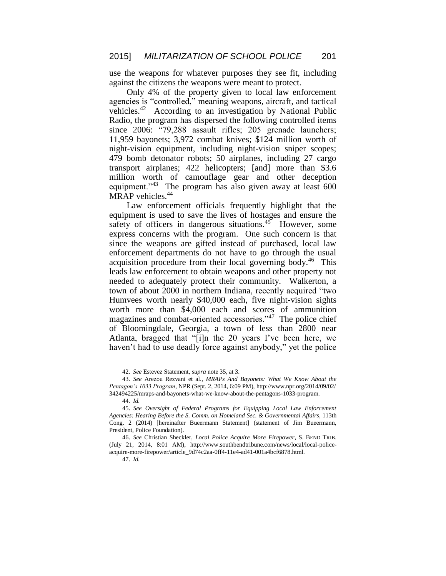use the weapons for whatever purposes they see fit, including against the citizens the weapons were meant to protect.

Only 4% of the property given to local law enforcement agencies is "controlled," meaning weapons, aircraft, and tactical vehicles.<sup>42</sup> According to an investigation by National Public Radio, the program has dispersed the following controlled items since 2006: "79,288 assault rifles; 205 grenade launchers; 11,959 bayonets; 3,972 combat knives; \$124 million worth of night-vision equipment, including night-vision sniper scopes; 479 bomb detonator robots; 50 airplanes, including 27 cargo transport airplanes; 422 helicopters; [and] more than \$3.6 million worth of camouflage gear and other deception equipment."<sup>43</sup> The program has also given away at least 600 MRAP vehicles.<sup>44</sup>

Law enforcement officials frequently highlight that the equipment is used to save the lives of hostages and ensure the safety of officers in dangerous situations. $45$  However, some express concerns with the program. One such concern is that since the weapons are gifted instead of purchased, local law enforcement departments do not have to go through the usual acquisition procedure from their local governing body.<sup>46</sup> This leads law enforcement to obtain weapons and other property not needed to adequately protect their community. Walkerton, a town of about 2000 in northern Indiana, recently acquired "two Humvees worth nearly \$40,000 each, five night-vision sights worth more than \$4,000 each and scores of ammunition magazines and combat-oriented accessories."<sup>47</sup> The police chief of Bloomingdale, Georgia, a town of less than 2800 near Atlanta, bragged that "[i]n the 20 years I've been here, we haven't had to use deadly force against anybody," yet the police

<sup>42.</sup> *See* Estevez Statement, *supra* note 35, at 3.

<sup>43.</sup> *See* Arezou Rezvani et al.*, MRAPs And Bayonets: What We Know About the Pentagon's 1033 Program*, NPR (Sept. 2, 2014, 6:09 PM), http://www.npr.org/2014/09/02/ 342494225/mraps-and-bayonets-what-we-know-about-the-pentagons-1033-program.

<sup>44.</sup> *Id.*

<sup>45.</sup> *See Oversight of Federal Programs for Equipping Local Law Enforcement Agencies: Hearing Before the S. Comm. on Homeland Sec. & Governmental Affairs*, 113th Cong. 2 (2014) [hereinafter Bueermann Statement] (statement of Jim Bueermann, President, Police Foundation).

<sup>46.</sup> *See* Christian Sheckler, *Local Police Acquire More Firepower*, S. BEND TRIB. (July 21, 2014, 8:01 AM), http://www.southbendtribune.com/news/local/local-policeacquire-more-firepower/article\_9d74c2aa-0ff4-11e4-ad41-001a4bcf6878.html.

<sup>47.</sup> *Id.*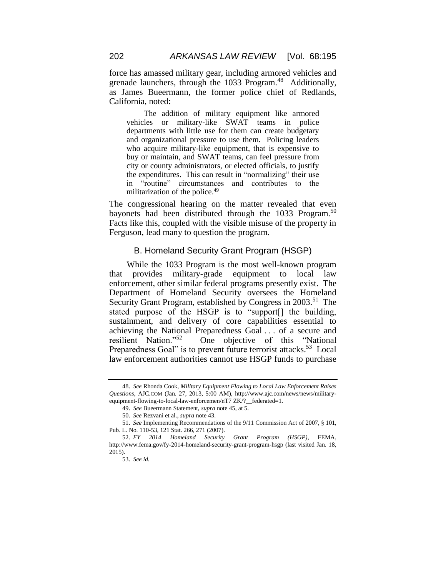force has amassed military gear, including armored vehicles and grenade launchers, through the 1033 Program.<sup>48</sup> Additionally, as James Bueermann, the former police chief of Redlands, California, noted:

The addition of military equipment like armored vehicles or military-like SWAT teams in police departments with little use for them can create budgetary and organizational pressure to use them. Policing leaders who acquire military-like equipment, that is expensive to buy or maintain, and SWAT teams, can feel pressure from city or county administrators, or elected officials, to justify the expenditures. This can result in "normalizing" their use in "routine" circumstances and contributes to the militarization of the police.<sup>49</sup>

The congressional hearing on the matter revealed that even bayonets had been distributed through the 1033 Program.<sup>50</sup> Facts like this, coupled with the visible misuse of the property in Ferguson, lead many to question the program.

#### B. Homeland Security Grant Program (HSGP)

While the 1033 Program is the most well-known program that provides military-grade equipment to local law enforcement, other similar federal programs presently exist. The Department of Homeland Security oversees the Homeland Security Grant Program, established by Congress in 2003.<sup>51</sup> The stated purpose of the HSGP is to "support[] the building, sustainment, and delivery of core capabilities essential to achieving the National Preparedness Goal . . . of a secure and resilient Nation."<sup>52</sup> One objective of this "National Preparedness Goal" is to prevent future terrorist attacks.<sup>53</sup> Local law enforcement authorities cannot use HSGP funds to purchase

<sup>48.</sup> *See* Rhonda Cook, *Military Equipment Flowing to Local Law Enforcement Raises Questions*, AJC.COM (Jan. 27, 2013, 5:00 AM), http://www.ajc.com/news/news/militaryequipment-flowing-to-local-law-enforcemen/nT7 ZK/?\_\_federated=1.

<sup>49.</sup> *See* Bueermann Statement, *supra* note 45, at 5.

<sup>50.</sup> *See* Rezvani et al., *supra* note 43.

<sup>51.</sup> *See* Implementing Recommendations of the 9/11 Commission Act of 2007, § 101, Pub. L. No. 110-53, 121 Stat. 266, 271 (2007).

<sup>52.</sup> *FY 2014 Homeland Security Grant Program (HSGP)*, FEMA, http://www.fema.gov/fy-2014-homeland-security-grant-program-hsgp (last visited Jan. 18, 2015).

<sup>53.</sup> *See id.*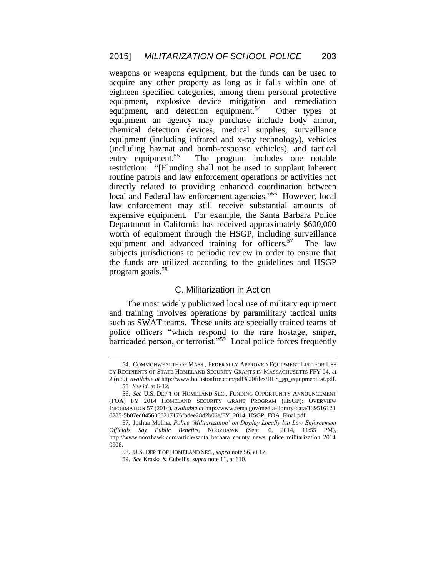weapons or weapons equipment, but the funds can be used to acquire any other property as long as it falls within one of eighteen specified categories, among them personal protective equipment, explosive device mitigation and remediation equipment, and detection equipment.<sup>54</sup> Other types of equipment an agency may purchase include body armor, chemical detection devices, medical supplies, surveillance equipment (including infrared and x-ray technology), vehicles (including hazmat and bomb-response vehicles), and tactical entry equipment.<sup>55</sup> The program includes one notable restriction: "[F]unding shall not be used to supplant inherent routine patrols and law enforcement operations or activities not directly related to providing enhanced coordination between local and Federal law enforcement agencies."<sup>56</sup> However, local law enforcement may still receive substantial amounts of expensive equipment. For example, the Santa Barbara Police Department in California has received approximately \$600,000 worth of equipment through the HSGP, including surveillance equipment and advanced training for officers. $57$  The law subjects jurisdictions to periodic review in order to ensure that the funds are utilized according to the guidelines and HSGP program goals.<sup>58</sup>

#### C. Militarization in Action

The most widely publicized local use of military equipment and training involves operations by paramilitary tactical units such as SWAT teams. These units are specially trained teams of police officers "which respond to the rare hostage, sniper, barricaded person, or terrorist."<sup>59</sup> Local police forces frequently

<sup>54.</sup> COMMONWEALTH OF MASS., FEDERALLY APPROVED EQUIPMENT LIST FOR USE BY RECIPIENTS OF STATE HOMELAND SECURITY GRANTS IN MASSACHUSETTS FFY 04, at 2 (n.d.), *available at* http://www.hollistonfire.com/pdf%20files/HLS\_gp\_equipmentlist.pdf.

<sup>55</sup>. *See id.* at 6-12.

<sup>56.</sup> *See* U.S. DEP'T OF HOMELAND SEC., FUNDING OPPORTUNITY ANNOUNCEMENT (FOA) FY 2014 HOMELAND SECURITY GRANT PROGRAM (HSGP): OVERVIEW INFORMATION 57 (2014), *available at* http://www.fema.gov/media-library-data/139516120 0285-5b07ed0456056217175fbdee28d2b06e/FY\_2014\_HSGP\_FOA\_Final.pdf.

<sup>57.</sup> Joshua Molina, *Police 'Militarization' on Display Locally but Law Enforcement Officials Say Public Benefits*, NOOZHAWK (Sept. 6, 2014, 11:55 PM), http://www.noozhawk.com/article/santa\_barbara\_county\_news\_police\_militarization\_2014 0906.

<sup>58.</sup> U.S. DEP'T OF HOMELAND SEC., *supra* note 56, at 17.

<sup>59.</sup> *See* Kraska & Cubellis, *supra* note 11, at 610.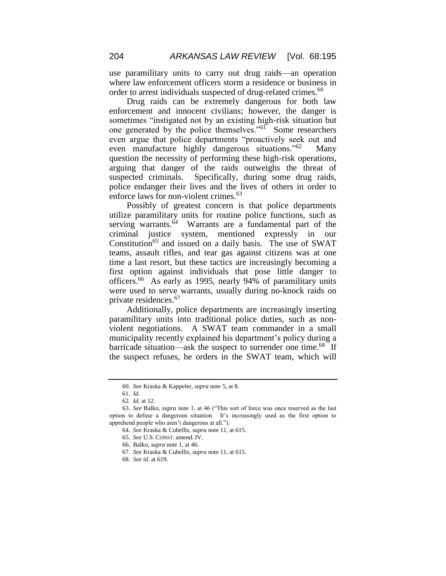use paramilitary units to carry out drug raids—an operation where law enforcement officers storm a residence or business in order to arrest individuals suspected of drug-related crimes. 60

Drug raids can be extremely dangerous for both law enforcement and innocent civilians; however, the danger is sometimes "instigated not by an existing high-risk situation but one generated by the police themselves."<sup>61</sup> Some researchers even argue that police departments "proactively seek out and even manufacture highly dangerous situations."<sup>62</sup> Many question the necessity of performing these high-risk operations, arguing that danger of the raids outweighs the threat of suspected criminals. Specifically, during some drug raids, police endanger their lives and the lives of others in order to enforce laws for non-violent crimes.<sup>63</sup>

Possibly of greatest concern is that police departments utilize paramilitary units for routine police functions, such as serving warrants.<sup>64</sup> Warrants are a fundamental part of the criminal justice system, mentioned expressly in our Constitution<sup>65</sup> and issued on a daily basis. The use of SWAT teams, assault rifles, and tear gas against citizens was at one time a last resort, but these tactics are increasingly becoming a first option against individuals that pose little danger to officers.<sup>66</sup> As early as 1995, nearly 94% of paramilitary units were used to serve warrants, usually during no-knock raids on private residences.<sup>67</sup>

Additionally, police departments are increasingly inserting paramilitary units into traditional police duties, such as nonviolent negotiations. A SWAT team commander in a small municipality recently explained his department's policy during a barricade situation—ask the suspect to surrender one time.<sup>68</sup> If the suspect refuses, he orders in the SWAT team, which will

<sup>60.</sup> *See* Kraska & Kappeler, *supra* note 5, at 8.

<sup>61.</sup> *Id.*

<sup>62.</sup> *Id.* at 12.

<sup>63.</sup> *See* Balko, *supra* note 1, at 46 ("This sort of force was once reserved as the last option to defuse a dangerous situation. It's increasingly used as the first option to apprehend people who aren't dangerous at all.").

<sup>64.</sup> *See* Kraska & Cubellis, *supra* note 11, at 615.

<sup>65.</sup> *See* U.S. CONST. amend. IV.

<sup>66.</sup> Balko, *supra* note 1, at 46.

<sup>67.</sup> *See* Kraska & Cubellis, *supra* note 11, at 615.

<sup>68.</sup> *See id.* at 619.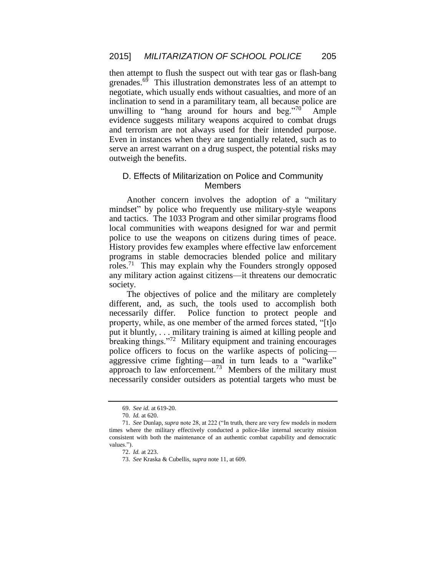then attempt to flush the suspect out with tear gas or flash-bang grenades.<sup>69</sup> This illustration demonstrates less of an attempt to negotiate, which usually ends without casualties, and more of an inclination to send in a paramilitary team, all because police are unwilling to "hang around for hours and beg."<sup>70</sup> Ample evidence suggests military weapons acquired to combat drugs and terrorism are not always used for their intended purpose. Even in instances when they are tangentially related, such as to serve an arrest warrant on a drug suspect, the potential risks may outweigh the benefits.

## D. Effects of Militarization on Police and Community Members

Another concern involves the adoption of a "military mindset" by police who frequently use military-style weapons and tactics. The 1033 Program and other similar programs flood local communities with weapons designed for war and permit police to use the weapons on citizens during times of peace. History provides few examples where effective law enforcement programs in stable democracies blended police and military roles.<sup>71</sup> This may explain why the Founders strongly opposed any military action against citizens—it threatens our democratic society.

The objectives of police and the military are completely different, and, as such, the tools used to accomplish both necessarily differ. Police function to protect people and property, while, as one member of the armed forces stated, "[t]o put it bluntly, . . . military training is aimed at killing people and breaking things."<sup>72</sup> Military equipment and training encourages police officers to focus on the warlike aspects of policing aggressive crime fighting—and in turn leads to a "warlike" approach to law enforcement.<sup>73</sup> Members of the military must necessarily consider outsiders as potential targets who must be

<sup>69.</sup> *See id.* at 619-20.

<sup>70</sup>*. Id.* at 620.

<sup>71.</sup> *See* Dunlap, *supra* note 28, at 222 ("In truth, there are very few models in modern times where the military effectively conducted a police-like internal security mission consistent with both the maintenance of an authentic combat capability and democratic values.").

<sup>72.</sup> *Id.* at 223.

<sup>73.</sup> *See* Kraska & Cubellis, *supra* note 11, at 609.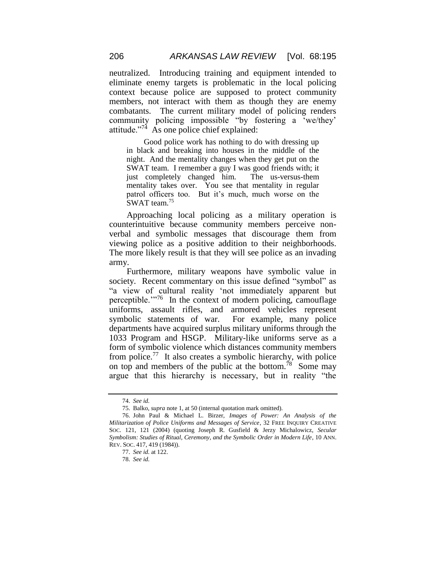neutralized. Introducing training and equipment intended to eliminate enemy targets is problematic in the local policing context because police are supposed to protect community members, not interact with them as though they are enemy combatants. The current military model of policing renders community policing impossible "by fostering a 'we/they' attitude." $74$  As one police chief explained:

Good police work has nothing to do with dressing up in black and breaking into houses in the middle of the night. And the mentality changes when they get put on the SWAT team. I remember a guy I was good friends with; it just completely changed him. The us-versus-them mentality takes over. You see that mentality in regular patrol officers too. But it's much, much worse on the SWAT team.<sup>75</sup>

Approaching local policing as a military operation is counterintuitive because community members perceive nonverbal and symbolic messages that discourage them from viewing police as a positive addition to their neighborhoods. The more likely result is that they will see police as an invading army.

Furthermore, military weapons have symbolic value in society. Recent commentary on this issue defined "symbol" as "a view of cultural reality 'not immediately apparent but perceptible.<sup>"76</sup> In the context of modern policing, camouflage uniforms, assault rifles, and armored vehicles represent symbolic statements of war. For example, many police departments have acquired surplus military uniforms through the 1033 Program and HSGP. Military-like uniforms serve as a form of symbolic violence which distances community members from police.<sup>77</sup> It also creates a symbolic hierarchy, with police on top and members of the public at the bottom.<sup>78</sup> Some may argue that this hierarchy is necessary, but in reality "the

<sup>74.</sup> *See id.*

<sup>75.</sup> Balko, *supra* note 1, at 50 (internal quotation mark omitted).

<sup>76.</sup> John Paul & Michael L. Birzer, *Images of Power: An Analysis of the Militarization of Police Uniforms and Messages of Service*, 32 FREE INQUIRY CREATIVE SOC. 121, 121 (2004) (quoting Joseph R. Gusfield & Jerzy Michalowicz, *Secular Symbolism: Studies of Ritual, Ceremony, and the Symbolic Order in Modern Life*, 10 ANN. REV. SOC. 417, 419 (1984)).

<sup>77.</sup> *See id.* at 122.

<sup>78.</sup> *See id.*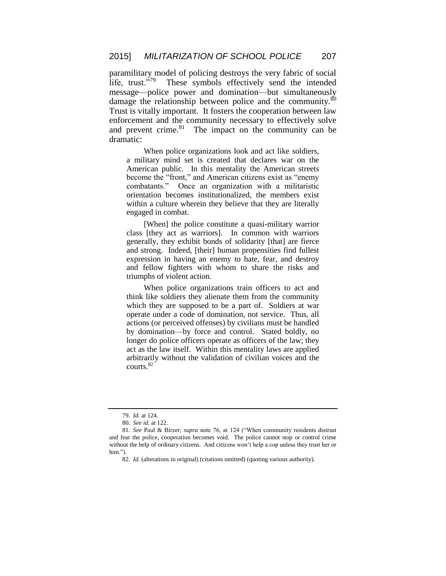paramilitary model of policing destroys the very fabric of social life, trust. $179$  These symbols effectively send the intended message—police power and domination—but simultaneously damage the relationship between police and the community. $\frac{80}{ }$ Trust is vitally important. It fosters the cooperation between law enforcement and the community necessary to effectively solve and prevent crime. $81$  The impact on the community can be dramatic:

When police organizations look and act like soldiers, a military mind set is created that declares war on the American public. In this mentality the American streets become the "front," and American citizens exist as "enemy combatants." Once an organization with a militaristic orientation becomes institutionalized, the members exist within a culture wherein they believe that they are literally engaged in combat.

[When] the police constitute a quasi-military warrior class [they act as warriors]. In common with warriors generally, they exhibit bonds of solidarity [that] are fierce and strong. Indeed, [their] human propensities find fullest expression in having an enemy to hate, fear, and destroy and fellow fighters with whom to share the risks and triumphs of violent action.

When police organizations train officers to act and think like soldiers they alienate them from the community which they are supposed to be a part of. Soldiers at war operate under a code of domination, not service. Thus, all actions (or perceived offenses) by civilians must be handled by domination—by force and control. Stated boldly, no longer do police officers operate as officers of the law; they act as the law itself. Within this mentality laws are applied arbitrarily without the validation of civilian voices and the courts.<sup>82</sup>

<sup>79.</sup> *Id.* at 124.

<sup>80.</sup> *See id.* at 122.

<sup>81.</sup> *See* Paul & Birzer, *supra* note 76, at 124 ("When community residents distrust and fear the police, cooperation becomes void. The police cannot stop or control crime without the help of ordinary citizens. And citizens won't help a cop unless they trust her or him<sup>"</sup>

<sup>82.</sup> *Id.* (alterations in original) (citations omitted) (quoting various authority).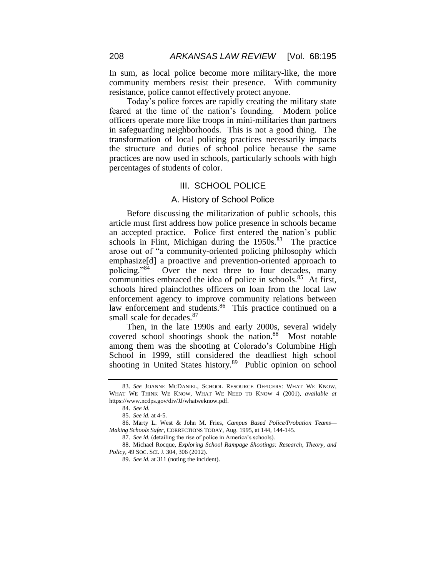In sum, as local police become more military-like, the more community members resist their presence. With community resistance, police cannot effectively protect anyone.

Today's police forces are rapidly creating the military state feared at the time of the nation's founding. Modern police officers operate more like troops in mini-militaries than partners in safeguarding neighborhoods. This is not a good thing. The transformation of local policing practices necessarily impacts the structure and duties of school police because the same practices are now used in schools, particularly schools with high percentages of students of color.

#### III. SCHOOL POLICE

#### A. History of School Police

Before discussing the militarization of public schools, this article must first address how police presence in schools became an accepted practice. Police first entered the nation's public schools in Flint, Michigan during the 1950s.<sup>83</sup> The practice arose out of "a community-oriented policing philosophy which emphasize[d] a proactive and prevention-oriented approach to policing."<sup>84</sup> Over the next three to four decades, many communities embraced the idea of police in schools.<sup>85</sup> At first, schools hired plainclothes officers on loan from the local law enforcement agency to improve community relations between law enforcement and students.<sup>86</sup> This practice continued on a small scale for decades.<sup>87</sup>

Then, in the late 1990s and early 2000s, several widely covered school shootings shook the nation.<sup>88</sup> Most notable among them was the shooting at Colorado's Columbine High School in 1999, still considered the deadliest high school shooting in United States history.<sup>89</sup> Public opinion on school

<sup>83.</sup> *See* JOANNE MCDANIEL, SCHOOL RESOURCE OFFICERS: WHAT WE KNOW, WHAT WE THINK WE KNOW, WHAT WE NEED TO KNOW 4 (2001), *available at* https://www.ncdps.gov/div/JJ/whatweknow.pdf.

<sup>84.</sup> *See id.*

<sup>85.</sup> *See id.* at 4-5.

<sup>86.</sup> Marty L. West & John M. Fries, *Campus Based Police/Probation Teams— Making Schools Safer*, CORRECTIONS TODAY, Aug. 1995, at 144, 144-145.

<sup>87.</sup> *See id.* (detailing the rise of police in America's schools).

<sup>88.</sup> Michael Rocque, *Exploring School Rampage Shootings: Research, Theory, and Policy*, 49 SOC. SCI. J. 304, 306 (2012).

<sup>89.</sup> *See id.* at 311 (noting the incident).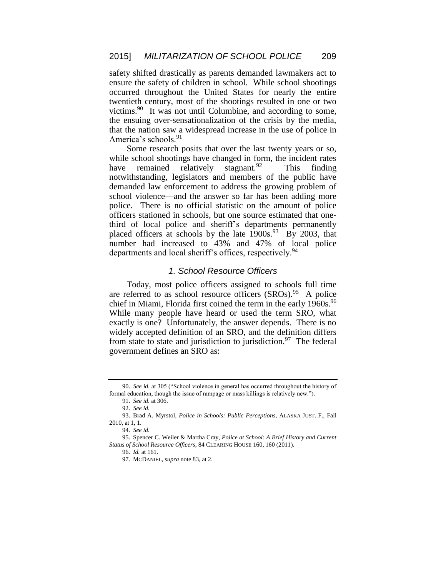safety shifted drastically as parents demanded lawmakers act to ensure the safety of children in school. While school shootings occurred throughout the United States for nearly the entire twentieth century, most of the shootings resulted in one or two victims.<sup>90</sup> It was not until Columbine, and according to some, the ensuing over-sensationalization of the crisis by the media, that the nation saw a widespread increase in the use of police in America's schools.<sup>91</sup>

Some research posits that over the last twenty years or so, while school shootings have changed in form, the incident rates have remained relatively stagnant.<sup>92</sup> This finding notwithstanding, legislators and members of the public have demanded law enforcement to address the growing problem of school violence—and the answer so far has been adding more police. There is no official statistic on the amount of police officers stationed in schools, but one source estimated that onethird of local police and sheriff's departments permanently placed officers at schools by the late  $1900s^{93}$  By 2003, that number had increased to 43% and 47% of local police departments and local sheriff's offices, respectively.<sup>94</sup>

#### *1. School Resource Officers*

Today, most police officers assigned to schools full time are referred to as school resource officers (SROs).<sup>95</sup> A police chief in Miami, Florida first coined the term in the early 1960s.<sup>96</sup> While many people have heard or used the term SRO, what exactly is one? Unfortunately, the answer depends. There is no widely accepted definition of an SRO, and the definition differs from state to state and jurisdiction to jurisdiction.<sup>97</sup> The federal government defines an SRO as:

<sup>90.</sup> *See id.* at 305 ("School violence in general has occurred throughout the history of formal education, though the issue of rampage or mass killings is relatively new.").

<sup>91.</sup> *See id.* at 306.

<sup>92.</sup> *See id.*

<sup>93.</sup> Brad A. Myrstol, *Police in Schools: Public Perceptions*, ALASKA JUST. F., Fall 2010, at 1, 1.

<sup>94.</sup> *See id.*

<sup>95.</sup> Spencer C. Weiler & Martha Cray, *Police at School: A Brief History and Current Status of School Resource Officers*, 84 CLEARING HOUSE 160, 160 (2011).

<sup>96.</sup> *Id.* at 161.

<sup>97.</sup> MCDANIEL, *supra* note 83, at 2.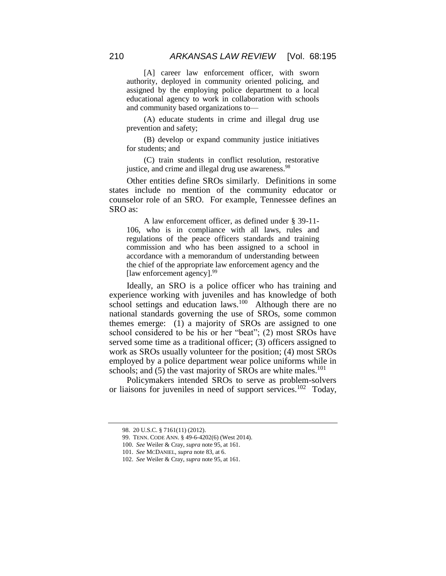[A] career law enforcement officer, with sworn authority, deployed in community oriented policing, and assigned by the employing police department to a local educational agency to work in collaboration with schools and community based organizations to—

(A) educate students in crime and illegal drug use prevention and safety;

(B) develop or expand community justice initiatives for students; and

(C) train students in conflict resolution, restorative justice, and crime and illegal drug use awareness.<sup>98</sup>

Other entities define SROs similarly. Definitions in some states include no mention of the community educator or counselor role of an SRO. For example, Tennessee defines an SRO as:

A law enforcement officer, as defined under § 39-11- 106, who is in compliance with all laws, rules and regulations of the peace officers standards and training commission and who has been assigned to a school in accordance with a memorandum of understanding between the chief of the appropriate law enforcement agency and the [law enforcement agency]. 99

Ideally, an SRO is a police officer who has training and experience working with juveniles and has knowledge of both school settings and education laws.<sup>100</sup> Although there are no national standards governing the use of SROs, some common themes emerge: (1) a majority of SROs are assigned to one school considered to be his or her "beat"; (2) most SROs have served some time as a traditional officer; (3) officers assigned to work as SROs usually volunteer for the position; (4) most SROs employed by a police department wear police uniforms while in schools; and  $(5)$  the vast majority of SROs are white males.<sup>101</sup>

Policymakers intended SROs to serve as problem-solvers or liaisons for juveniles in need of support services.<sup>102</sup> Today,

<sup>98.</sup> 20 U.S.C. § 7161(11) (2012).

<sup>99.</sup> TENN. CODE ANN. § 49-6-4202(6) (West 2014).

<sup>100.</sup> *See* Weiler & Cray, *supra* note 95, at 161.

<sup>101.</sup> *See* MCDANIEL, *supra* note 83, at 6.

<sup>102.</sup> *See* Weiler & Cray, *supra* note 95, at 161.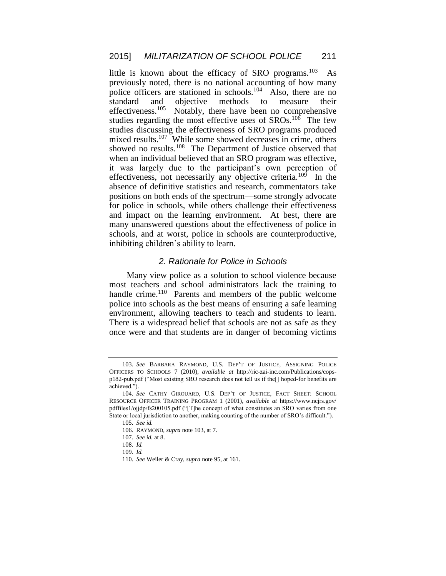little is known about the efficacy of SRO programs.<sup>103</sup> As previously noted, there is no national accounting of how many police officers are stationed in schools.<sup>104</sup> Also, there are no standard and objective methods to measure their effectiveness.<sup>105</sup> Notably, there have been no comprehensive studies regarding the most effective uses of  $SROs$ . <sup>106</sup> The few studies discussing the effectiveness of SRO programs produced mixed results.<sup>107</sup> While some showed decreases in crime, others showed no results.<sup>108</sup> The Department of Justice observed that when an individual believed that an SRO program was effective, it was largely due to the participant's own perception of effectiveness, not necessarily any objective criteria.<sup>109</sup> In the absence of definitive statistics and research, commentators take positions on both ends of the spectrum—some strongly advocate for police in schools, while others challenge their effectiveness and impact on the learning environment. At best, there are many unanswered questions about the effectiveness of police in schools, and at worst, police in schools are counterproductive, inhibiting children's ability to learn.

## *2. Rationale for Police in Schools*

Many view police as a solution to school violence because most teachers and school administrators lack the training to handle crime.<sup>110</sup> Parents and members of the public welcome police into schools as the best means of ensuring a safe learning environment, allowing teachers to teach and students to learn. There is a widespread belief that schools are not as safe as they once were and that students are in danger of becoming victims

<sup>103.</sup> *See* BARBARA RAYMOND, U.S. DEP'T OF JUSTICE, ASSIGNING POLICE OFFICERS TO SCHOOLS 7 (2010), *available at* http://ric-zai-inc.com/Publications/copsp182-pub.pdf ("Most existing SRO research does not tell us if the[] hoped-for benefits are achieved.").

<sup>104.</sup> *See* CATHY GIROUARD, U.S. DEP'T OF JUSTICE, FACT SHEET: SCHOOL RESOURCE OFFICER TRAINING PROGRAM 1 (2001), *available at* https://www.ncjrs.gov/ pdffiles1/ojjdp/fs200105.pdf ("[T]he concept of what constitutes an SRO varies from one State or local jurisdiction to another, making counting of the number of SRO's difficult.").

<sup>105.</sup> *See id.*

<sup>106.</sup> RAYMOND, *supra* note 103, at 7.

<sup>107.</sup> *See id.* at 8.

<sup>108.</sup> *Id.*

<sup>109.</sup> *Id.*

<sup>110.</sup> *See* Weiler & Cray, *supra* note 95, at 161.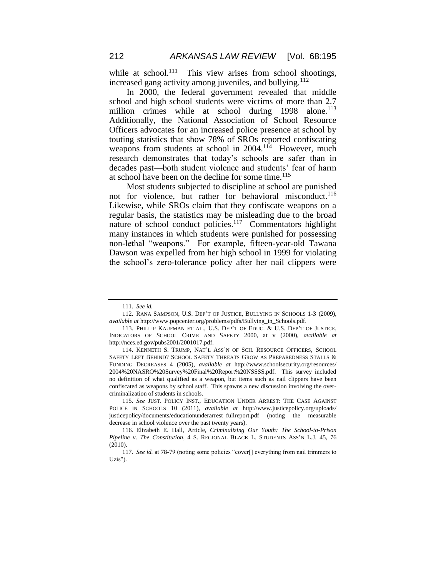while at school.<sup>111</sup> This view arises from school shootings, increased gang activity among juveniles, and bullying.<sup>112</sup>

In 2000, the federal government revealed that middle school and high school students were victims of more than 2.7 million crimes while at school during 1998 alone.<sup>113</sup> Additionally, the National Association of School Resource Officers advocates for an increased police presence at school by touting statistics that show 78% of SROs reported confiscating weapons from students at school in 2004.<sup>114</sup> However, much research demonstrates that today's schools are safer than in decades past—both student violence and students' fear of harm at school have been on the decline for some time.<sup>115</sup>

Most students subjected to discipline at school are punished not for violence, but rather for behavioral misconduct.<sup>116</sup> Likewise, while SROs claim that they confiscate weapons on a regular basis, the statistics may be misleading due to the broad nature of school conduct policies.<sup>117</sup> Commentators highlight many instances in which students were punished for possessing non-lethal "weapons." For example, fifteen-year-old Tawana Dawson was expelled from her high school in 1999 for violating the school's zero-tolerance policy after her nail clippers were

<sup>111.</sup> *See id.*

<sup>112.</sup> RANA SAMPSON, U.S. DEP'T OF JUSTICE, BULLYING IN SCHOOLS 1-3 (2009), *available at* http://www.popcenter.org/problems/pdfs/Bullying\_in\_Schools.pdf.

<sup>113.</sup> PHILLIP KAUFMAN ET AL., U.S. DEP'T OF EDUC. & U.S. DEP'T OF JUSTICE, INDICATORS OF SCHOOL CRIME AND SAFETY 2000, at v (2000), *available at*  http://nces.ed.gov/pubs2001/2001017.pdf.

<sup>114.</sup> KENNETH S. TRUMP, NAT'L ASS'N OF SCH. RESOURCE OFFICERS, SCHOOL SAFETY LEFT BEHIND? SCHOOL SAFETY THREATS GROW AS PREPAREDNESS STALLS & FUNDING DECREASES 4 (2005), *available at* http://www.schoolsecurity.org/resources/ 2004%20NASRO%20Survey%20Final%20Report%20NSSSS.pdf. This survey included no definition of what qualified as a weapon, but items such as nail clippers have been confiscated as weapons by school staff. This spawns a new discussion involving the overcriminalization of students in schools*.*

<sup>115.</sup> *See* JUST. POLICY INST., EDUCATION UNDER ARREST: THE CASE AGAINST POLICE IN SCHOOLS 10 (2011), *available at* http://www.justicepolicy.org/uploads/ justicepolicy/documents/educationunderarrest\_fullreport.pdf (noting the measurable decrease in school violence over the past twenty years).

<sup>116.</sup> Elizabeth E. Hall, Article, *Criminalizing Our Youth: The School-to-Prison Pipeline v. The Constitution*, 4 S. REGIONAL BLACK L. STUDENTS ASS'N L.J. 45, 76 (2010).

<sup>117.</sup> *See id.* at 78-79 (noting some policies "cover[] everything from nail trimmers to Uzis").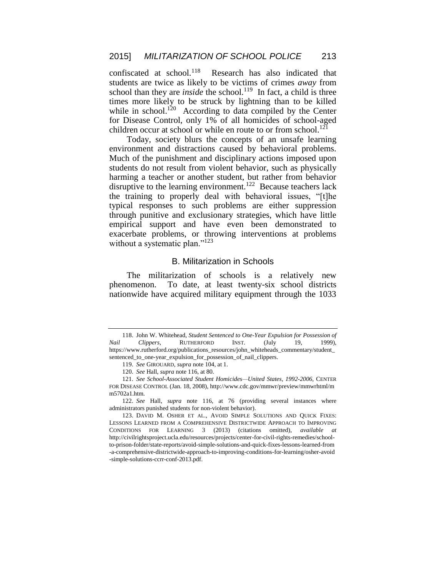confiscated at school.<sup>118</sup> Research has also indicated that students are twice as likely to be victims of crimes *away* from school than they are *inside* the school.<sup>119</sup> In fact, a child is three times more likely to be struck by lightning than to be killed while in school.<sup>120</sup> According to data compiled by the Center for Disease Control, only 1% of all homicides of school-aged children occur at school or while en route to or from school.<sup>121</sup>

Today, society blurs the concepts of an unsafe learning environment and distractions caused by behavioral problems. Much of the punishment and disciplinary actions imposed upon students do not result from violent behavior, such as physically harming a teacher or another student, but rather from behavior disruptive to the learning environment.<sup>122</sup> Because teachers lack the training to properly deal with behavioral issues, "[t]he typical responses to such problems are either suppression through punitive and exclusionary strategies, which have little empirical support and have even been demonstrated to exacerbate problems, or throwing interventions at problems without a systematic plan."<sup>123</sup>

#### B. Militarization in Schools

The militarization of schools is a relatively new phenomenon. To date, at least twenty-six school districts nationwide have acquired military equipment through the 1033

<sup>118.</sup> John W. Whitehead, *Student Sentenced to One-Year Expulsion for Possession of Nail Clippers*, RUTHERFORD INST. (July 19, 1999), https://www.rutherford.org/publications\_resources/john\_whiteheads\_commentary/student\_ sentenced\_to\_one-year\_expulsion\_for\_possession\_of\_nail\_clippers.

<sup>119.</sup> *See* GIROUARD, *supra* note 104, at 1.

<sup>120.</sup> *See* Hall, *supra* note 116, at 80.

<sup>121.</sup> *See School-Associated Student Homicides—United States, 1992-2006*, CENTER FOR DISEASE CONTROL (Jan. 18, 2008), http://www.cdc.gov/mmwr/preview/mmwrhtml/m m5702a1.htm.

<sup>122.</sup> *See* Hall, *supra* note 116, at 76 (providing several instances where administrators punished students for non-violent behavior).

<sup>123.</sup> DAVID M. OSHER ET AL., AVOID SIMPLE SOLUTIONS AND QUICK FIXES: LESSONS LEARNED FROM A COMPREHENSIVE DISTRICTWIDE APPROACH TO IMPROVING CONDITIONS FOR LEARNING 3 (2013) (citations omitted), *available at* http://civilrightsproject.ucla.edu/resources/projects/center-for-civil-rights-remedies/schoolto-prison-folder/state-reports/avoid-simple-solutions-and-quick-fixes-lessons-learned-from -a-comprehensive-districtwide-approach-to-improving-conditions-for-learning/osher-avoid -simple-solutions-ccrr-conf-2013.pdf.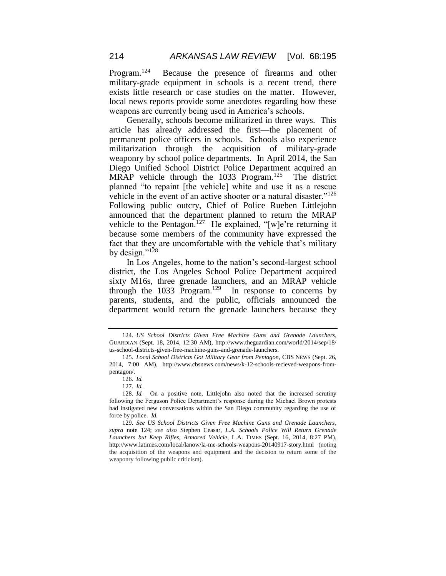Program.<sup>124</sup> Because the presence of firearms and other military-grade equipment in schools is a recent trend, there exists little research or case studies on the matter. However, local news reports provide some anecdotes regarding how these weapons are currently being used in America's schools.

Generally, schools become militarized in three ways. This article has already addressed the first—the placement of permanent police officers in schools. Schools also experience militarization through the acquisition of military-grade weaponry by school police departments. In April 2014, the San Diego Unified School District Police Department acquired an MRAP vehicle through the 1033 Program.<sup>125</sup> The district planned "to repaint [the vehicle] white and use it as a rescue vehicle in the event of an active shooter or a natural disaster."<sup>126</sup> Following public outcry, Chief of Police Rueben Littlejohn announced that the department planned to return the MRAP vehicle to the Pentagon.<sup>127</sup> He explained, "[w]e're returning it because some members of the community have expressed the fact that they are uncomfortable with the vehicle that's military by design." $^{128}$ 

In Los Angeles, home to the nation's second-largest school district, the Los Angeles School Police Department acquired sixty M16s, three grenade launchers, and an MRAP vehicle through the  $1033$  Program.<sup>129</sup> In response to concerns by parents, students, and the public, officials announced the department would return the grenade launchers because they

<sup>124.</sup> *US School Districts Given Free Machine Guns and Grenade Launchers*, GUARDIAN (Sept. 18, 2014, 12:30 AM), http://www.theguardian.com/world/2014/sep/18/ us-school-districts-given-free-machine-guns-and-grenade-launchers.

<sup>125.</sup> *Local School Districts Got Military Gear from Pentagon*, CBS NEWS (Sept. 26, 2014, 7:00 AM), http://www.cbsnews.com/news/k-12-schools-recieved-weapons-frompentagon/.

<sup>126.</sup> *Id.*

<sup>127.</sup> *Id.*

<sup>128.</sup> *Id.* On a positive note, Littlejohn also noted that the increased scrutiny following the Ferguson Police Department's response during the Michael Brown protests had instigated new conversations within the San Diego community regarding the use of force by police. *Id.*

<sup>129.</sup> *See US School Districts Given Free Machine Guns and Grenade Launchers*, *supra* note 124; *see also* Stephen Ceasar, *L.A. Schools Police Will Return Grenade Launchers but Keep Rifles, Armored Vehicle*, L.A. TIMES (Sept. 16, 2014, 8:27 PM), http://www.latimes.com/local/lanow/la-me-schools-weapons-20140917-story.html (noting the acquisition of the weapons and equipment and the decision to return some of the weaponry following public criticism).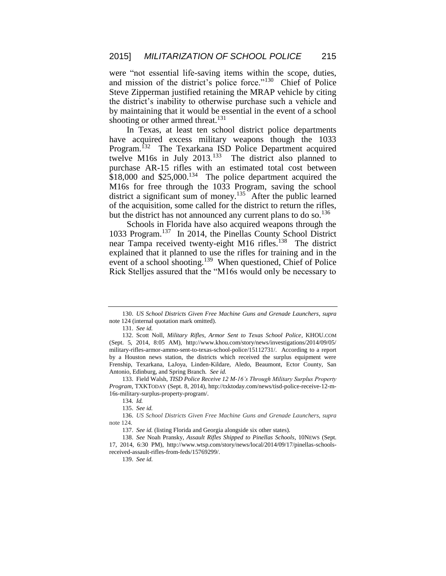were "not essential life-saving items within the scope, duties, and mission of the district's police force."<sup>130</sup> Chief of Police Steve Zipperman justified retaining the MRAP vehicle by citing the district's inability to otherwise purchase such a vehicle and by maintaining that it would be essential in the event of a school shooting or other armed threat.<sup>131</sup>

In Texas, at least ten school district police departments have acquired excess military weapons though the 1033 Program.<sup>132</sup> The Texarkana ISD Police Department acquired twelve M16s in July  $2013$ <sup>133</sup> The district also planned to purchase AR-15 rifles with an estimated total cost between  $$18,000$  and  $$25,000$ .<sup>134</sup> The police department acquired the M16s for free through the 1033 Program, saving the school district a significant sum of money.<sup>135</sup> After the public learned of the acquisition, some called for the district to return the rifles, but the district has not announced any current plans to do so.<sup>136</sup>

Schools in Florida have also acquired weapons through the 1033 Program.<sup>137</sup> In 2014, the Pinellas County School District near Tampa received twenty-eight M16 rifles.<sup>138</sup> The district explained that it planned to use the rifles for training and in the event of a school shooting.<sup>139</sup> When questioned, Chief of Police Rick Stelljes assured that the "M16s would only be necessary to

<sup>130.</sup> *US School Districts Given Free Machine Guns and Grenade Launchers*, *supra* note 124 (internal quotation mark omitted).

<sup>131.</sup> *See id.*

<sup>132.</sup> Scott Noll, *Military Rifles, Armor Sent to Texas School Police*, KHOU.COM (Sept. 5, 2014, 8:05 AM), http://www.khou.com/story/news/investigations/2014/09/05/ military-rifles-armor-ammo-sent-to-texas-school-police/15112731/. According to a report by a Houston news station, the districts which received the surplus equipment were Frenship, Texarkana, LaJoya, Linden-Kildare, Aledo, Beaumont, Ector County, San Antonio, Edinburg, and Spring Branch. *See id.*

<sup>133.</sup> Field Walsh, *TISD Police Receive 12 M-16's Through Military Surplus Property Program*, TXKTODAY (Sept. 8, 2014), http://txktoday.com/news/tisd-police-receive-12-m-16s-military-surplus-property-program/.

<sup>134</sup>*. Id.*

<sup>135.</sup> *See id.*

<sup>136.</sup> *US School Districts Given Free Machine Guns and Grenade Launchers*, *supra* note 124.

<sup>137.</sup> *See id.* (listing Florida and Georgia alongside six other states).

<sup>138.</sup> *See* Noah Pransky, *Assault Rifles Shipped to Pinellas Schools*, 10NEWS (Sept. 17, 2014, 6:30 PM), http://www.wtsp.com/story/news/local/2014/09/17/pinellas-schoolsreceived-assault-rifles-from-feds/15769299/.

<sup>139.</sup> *See id.*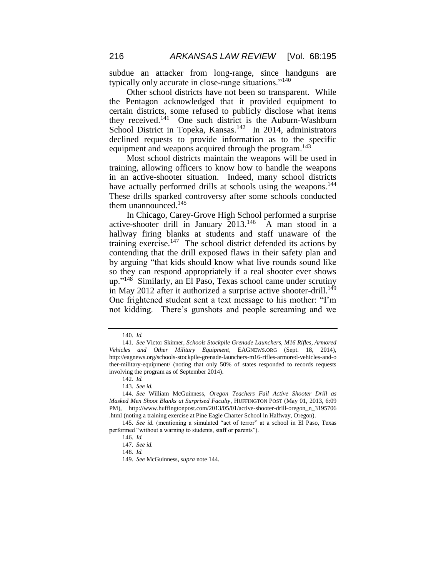subdue an attacker from long-range, since handguns are typically only accurate in close-range situations."<sup>140</sup>

Other school districts have not been so transparent. While the Pentagon acknowledged that it provided equipment to certain districts, some refused to publicly disclose what items they received.<sup>141</sup> One such district is the Auburn-Washburn School District in Topeka, Kansas.<sup>142</sup> In 2014, administrators declined requests to provide information as to the specific equipment and weapons acquired through the program.<sup>143</sup>

Most school districts maintain the weapons will be used in training, allowing officers to know how to handle the weapons in an active-shooter situation. Indeed, many school districts have actually performed drills at schools using the weapons.<sup>144</sup> These drills sparked controversy after some schools conducted them unannounced.<sup>145</sup>

In Chicago, Carey-Grove High School performed a surprise active-shooter drill in January 2013.<sup>146</sup> A man stood in a hallway firing blanks at students and staff unaware of the training exercise.<sup>147</sup> The school district defended its actions by contending that the drill exposed flaws in their safety plan and by arguing "that kids should know what live rounds sound like so they can respond appropriately if a real shooter ever shows up."<sup>148</sup> Similarly, an El Paso, Texas school came under scrutiny in May 2012 after it authorized a surprise active shooter-drill.<sup>149</sup> One frightened student sent a text message to his mother: "I'm not kidding. There's gunshots and people screaming and we

<sup>140.</sup> *Id.*

<sup>141.</sup> *See* Victor Skinner, *Schools Stockpile Grenade Launchers, M16 Rifles, Armored Vehicles and Other Military Equipment*, EAGNEWS.ORG (Sept. 18, 2014), http://eagnews.org/schools-stockpile-grenade-launchers-m16-rifles-armored-vehicles-and-o ther-military-equipment/ (noting that only 50% of states responded to records requests involving the program as of September 2014).

<sup>142.</sup> *Id.*

<sup>143.</sup> *See id.*

<sup>144.</sup> *See* William McGuinness, *Oregon Teachers Fail Active Shooter Drill as Masked Men Shoot Blanks at Surprised Faculty*, HUFFINGTON POST (May 01, 2013, 6:09 PM), http://www.huffingtonpost.com/2013/05/01/active-shooter-drill-oregon\_n\_3195706 .html (noting a training exercise at Pine Eagle Charter School in Halfway, Oregon).

<sup>145.</sup> *See id.* (mentioning a simulated "act of terror" at a school in El Paso, Texas performed "without a warning to students, staff or parents").

<sup>146.</sup> *Id.*

<sup>147.</sup> *See id.*

<sup>148.</sup> *Id.*

<sup>149.</sup> *See* McGuinness, *supra* note 144.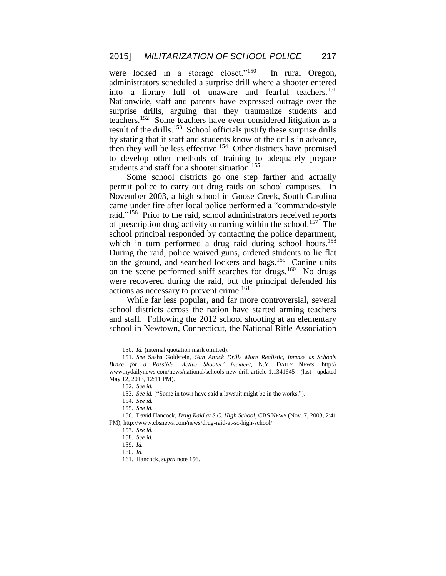were locked in a storage closet."<sup>150</sup> In rural Oregon, administrators scheduled a surprise drill where a shooter entered into a library full of unaware and fearful teachers.<sup>151</sup> Nationwide, staff and parents have expressed outrage over the surprise drills, arguing that they traumatize students and teachers.<sup>152</sup> Some teachers have even considered litigation as a result of the drills.<sup>153</sup> School officials justify these surprise drills by stating that if staff and students know of the drills in advance, then they will be less effective.<sup>154</sup> Other districts have promised to develop other methods of training to adequately prepare students and staff for a shooter situation.<sup>155</sup>

Some school districts go one step farther and actually permit police to carry out drug raids on school campuses. In November 2003, a high school in Goose Creek, South Carolina came under fire after local police performed a "commando-style raid."<sup>156</sup> Prior to the raid, school administrators received reports of prescription drug activity occurring within the school.<sup>157</sup> The school principal responded by contacting the police department, which in turn performed a drug raid during school hours.<sup>158</sup> During the raid, police waived guns, ordered students to lie flat on the ground, and searched lockers and bags.<sup>159</sup> Canine units on the scene performed sniff searches for drugs.<sup>160</sup> No drugs were recovered during the raid, but the principal defended his actions as necessary to prevent crime.<sup>161</sup>

While far less popular, and far more controversial, several school districts across the nation have started arming teachers and staff. Following the 2012 school shooting at an elementary school in Newtown, Connecticut, the National Rifle Association

<sup>150.</sup> *Id.* (internal quotation mark omitted).

<sup>151.</sup> *See* Sasha Goldstein, *Gun Attack Drills More Realistic, Intense as Schools Brace for a Possible 'Active Shooter' Incident*, N.Y. DAILY NEWS, http:// www.nydailynews.com/news/national/schools-new-drill-article-1.1341645 (last updated May 12, 2013, 12:11 PM).

<sup>152.</sup> *See id.*

<sup>153.</sup> *See id.* ("Some in town have said a lawsuit might be in the works.").

<sup>154.</sup> *See id.*

<sup>155.</sup> *See id.*

<sup>156.</sup> David Hancock, *Drug Raid at S.C. High School*, CBS NEWS (Nov. 7, 2003, 2:41 PM), http://www.cbsnews.com/news/drug-raid-at-sc-high-school/.

<sup>157.</sup> *See id.*

<sup>158.</sup> *See id.*

<sup>159.</sup> *Id.*

<sup>160.</sup> *Id.*

<sup>161.</sup> Hancock, *supra* note 156.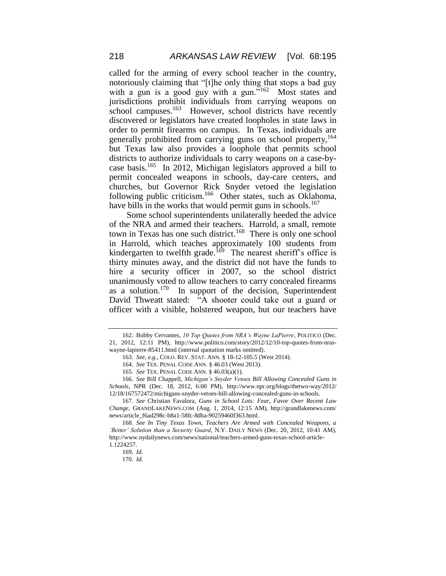called for the arming of every school teacher in the country, notoriously claiming that "[t]he only thing that stops a bad guy with a gun is a good guy with a gun."<sup>162</sup> Most states and jurisdictions prohibit individuals from carrying weapons on school campuses.<sup>163</sup> However, school districts have recently discovered or legislators have created loopholes in state laws in order to permit firearms on campus. In Texas, individuals are generally prohibited from carrying guns on school property, <sup>164</sup> but Texas law also provides a loophole that permits school districts to authorize individuals to carry weapons on a case-bycase basis.<sup>165</sup> In 2012, Michigan legislators approved a bill to permit concealed weapons in schools, day-care centers, and churches, but Governor Rick Snyder vetoed the legislation following public criticism.<sup>166</sup> Other states, such as Oklahoma, have bills in the works that would permit guns in schools.<sup>167</sup>

Some school superintendents unilaterally heeded the advice of the NRA and armed their teachers. Harrold, a small, remote town in Texas has one such district.<sup>168</sup> There is only one school in Harrold, which teaches approximately 100 students from kindergarten to twelfth grade.<sup>169</sup> The nearest sheriff's office is thirty minutes away, and the district did not have the funds to hire a security officer in 2007, so the school district unanimously voted to allow teachers to carry concealed firearms as a solution.<sup>170</sup> In support of the decision, Superintendent David Thweatt stated: "A shooter could take out a guard or officer with a visible, holstered weapon, but our teachers have

<sup>162.</sup> Bobby Cervantes, *10 Top Quotes from NRA's Wayne LaPierre*, POLITICO (Dec. 21, 2012, 12:11 PM), http://www.politico.com/story/2012/12/10-top-quotes-from-nraswayne-lapierre-85411.html (internal quotation marks omitted).

<sup>163.</sup> *See, e.g.*, COLO. REV. STAT. ANN. § 18-12-105.5 (West 2014).

<sup>164.</sup> *See* TEX. PENAL CODE ANN. § 46.03 (West 2013).

<sup>165.</sup> *See* TEX. PENAL CODE ANN. § 46.03(a)(1).

<sup>166.</sup> *See* Bill Chappell, *Michigan's Snyder Vetoes Bill Allowing Concealed Guns in Schools*, NPR (Dec. 18, 2012, 6:00 PM), http://www.npr.org/blogs/thetwo-way/2012/ 12/18/167572472/michigans-snyder-vetoes-bill-allowing-concealed-guns-in-schools.

<sup>167.</sup> *See* Christian Favalora, *Guns in School Lots: Fear, Favor Over Recent Law Change*, GRANDLAKENEWS.COM (Aug. 1, 2014, 12:15 AM), http://grandlakenews.com/ news/article\_f6ad298c-b8a1-58fc-8dba-90259460f363.html.

<sup>168.</sup> *See In Tiny Texas Town, Teachers Are Armed with Concealed Weapons, a 'Better' Solution than a Security Guard*, N.Y. DAILY NEWS (Dec. 20, 2012, 10:41 AM), http://www.nydailynews.com/news/national/teachers-armed-guns-texas-school-article-1.1224257.

<sup>169.</sup> *Id.*

<sup>170.</sup> *Id.*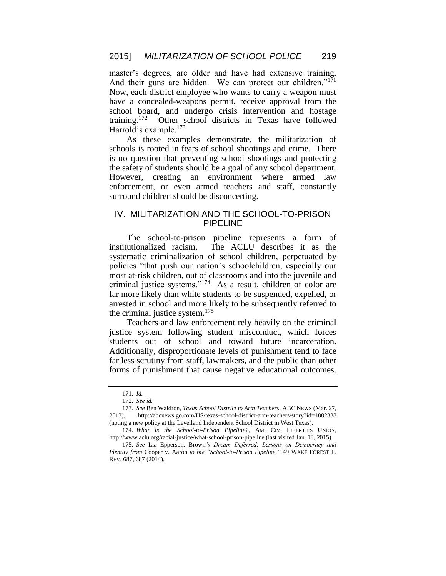master's degrees, are older and have had extensive training. And their guns are hidden. We can protect our children." $1<sup>71</sup>$ Now, each district employee who wants to carry a weapon must have a concealed-weapons permit, receive approval from the school board, and undergo crisis intervention and hostage training.<sup>172</sup> Other school districts in Texas have followed Harrold's example.<sup>173</sup>

As these examples demonstrate, the militarization of schools is rooted in fears of school shootings and crime. There is no question that preventing school shootings and protecting the safety of students should be a goal of any school department. However, creating an environment where armed law enforcement, or even armed teachers and staff, constantly surround children should be disconcerting.

## IV. MILITARIZATION AND THE SCHOOL-TO-PRISON PIPELINE

The school-to-prison pipeline represents a form of institutionalized racism. The ACLU describes it as the systematic criminalization of school children, perpetuated by policies "that push our nation's schoolchildren, especially our most at-risk children, out of classrooms and into the juvenile and criminal justice systems."<sup>174</sup> As a result, children of color are far more likely than white students to be suspended, expelled, or arrested in school and more likely to be subsequently referred to the criminal justice system. $175$ 

Teachers and law enforcement rely heavily on the criminal justice system following student misconduct, which forces students out of school and toward future incarceration. Additionally, disproportionate levels of punishment tend to face far less scrutiny from staff, lawmakers, and the public than other forms of punishment that cause negative educational outcomes.

<sup>171.</sup> *Id.*

<sup>172.</sup> *See id.*

<sup>173.</sup> *See* Ben Waldron, *Texas School District to Arm Teachers*, ABC NEWS (Mar. 27, 2013), http://abcnews.go.com/US/texas-school-district-arm-teachers/story?id=1882338 (noting a new policy at the Levelland Independent School District in West Texas).

<sup>174.</sup> *What Is the School-to-Prison Pipeline?*, AM. CIV. LIBERTIES UNION, http://www.aclu.org/racial-justice/what-school-prison-pipeline (last visited Jan. 18, 2015).

<sup>175.</sup> *See* Lia Epperson, Brown*'s Dream Deferred: Lessons on Democracy and Identity from* Cooper v. Aaron *to the "School-to-Prison Pipeline*,*"* 49 WAKE FOREST L. REV. 687, 687 (2014).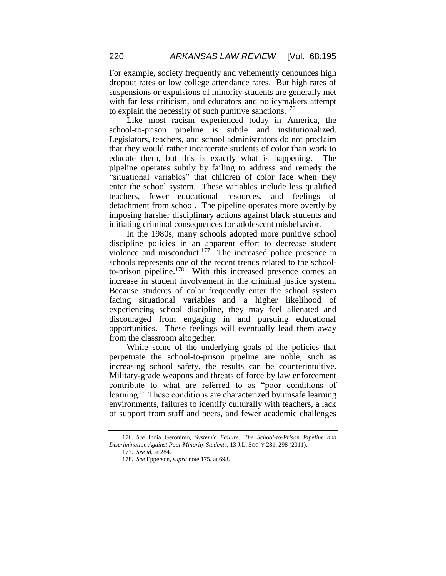For example, society frequently and vehemently denounces high dropout rates or low college attendance rates. But high rates of suspensions or expulsions of minority students are generally met with far less criticism, and educators and policymakers attempt to explain the necessity of such punitive sanctions.<sup>176</sup>

Like most racism experienced today in America, the school-to-prison pipeline is subtle and institutionalized. Legislators, teachers, and school administrators do not proclaim that they would rather incarcerate students of color than work to educate them, but this is exactly what is happening. The pipeline operates subtly by failing to address and remedy the "situational variables" that children of color face when they enter the school system. These variables include less qualified teachers, fewer educational resources, and feelings of detachment from school. The pipeline operates more overtly by imposing harsher disciplinary actions against black students and initiating criminal consequences for adolescent misbehavior.

In the 1980s, many schools adopted more punitive school discipline policies in an apparent effort to decrease student violence and misconduct. $177$  The increased police presence in schools represents one of the recent trends related to the schoolto-prison pipeline.<sup>178</sup> With this increased presence comes an increase in student involvement in the criminal justice system. Because students of color frequently enter the school system facing situational variables and a higher likelihood of experiencing school discipline, they may feel alienated and discouraged from engaging in and pursuing educational opportunities. These feelings will eventually lead them away from the classroom altogether.

While some of the underlying goals of the policies that perpetuate the school-to-prison pipeline are noble, such as increasing school safety, the results can be counterintuitive. Military-grade weapons and threats of force by law enforcement contribute to what are referred to as "poor conditions of learning." These conditions are characterized by unsafe learning environments, failures to identify culturally with teachers, a lack of support from staff and peers, and fewer academic challenges

<sup>176.</sup> *See* India Geronimo, *Systemic Failure: The School-to-Prison Pipeline and Discrimination Against Poor Minority Students*, 13 J.L. SOC'Y 281, 298 (2011).

<sup>177.</sup> *See id.* at 284.

<sup>178.</sup> *See* Epperson, *supra* note 175, at 698.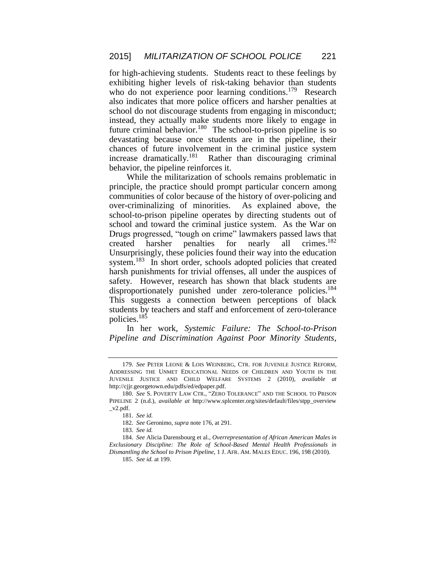for high-achieving students. Students react to these feelings by exhibiting higher levels of risk-taking behavior than students who do not experience poor learning conditions.<sup>179</sup> Research also indicates that more police officers and harsher penalties at school do not discourage students from engaging in misconduct; instead, they actually make students more likely to engage in future criminal behavior.<sup>180</sup> The school-to-prison pipeline is so devastating because once students are in the pipeline, their chances of future involvement in the criminal justice system increase dramatically.<sup>181</sup> Rather than discouraging criminal behavior, the pipeline reinforces it.

While the militarization of schools remains problematic in principle, the practice should prompt particular concern among communities of color because of the history of over-policing and over-criminalizing of minorities. As explained above, the school-to-prison pipeline operates by directing students out of school and toward the criminal justice system. As the War on Drugs progressed, "tough on crime" lawmakers passed laws that created harsher penalties for nearly all crimes.<sup>182</sup> Unsurprisingly, these policies found their way into the education system.<sup>183</sup> In short order, schools adopted policies that created harsh punishments for trivial offenses, all under the auspices of safety. However, research has shown that black students are disproportionately punished under zero-tolerance policies.<sup>184</sup> This suggests a connection between perceptions of black students by teachers and staff and enforcement of zero-tolerance policies.<sup>185</sup>

In her work, *Systemic Failure: The School-to-Prison Pipeline and Discrimination Against Poor Minority Students*,

185. *See id.* at 199.

<sup>179.</sup> *See* PETER LEONE & LOIS WEINBERG, CTR. FOR JUVENILE JUSTICE REFORM, ADDRESSING THE UNMET EDUCATIONAL NEEDS OF CHILDREN AND YOUTH IN THE JUVENILE JUSTICE AND CHILD WELFARE SYSTEMS 2 (2010), *available at* http://cjjr.georgetown.edu/pdfs/ed/edpaper.pdf.

<sup>180.</sup> *See* S. POVERTY LAW CTR., "ZERO TOLERANCE" AND THE SCHOOL TO PRISON PIPELINE 2 (n.d.), *available at* http://www.splcenter.org/sites/default/files/stpp\_overview  $_v2.pdf$ .

<sup>181.</sup> *See id.*

<sup>182.</sup> *See* Geronimo, *supra* note 176, at 291.

<sup>183.</sup> *See id.*

<sup>184.</sup> *See* Alicia Darensbourg et al., *Overrepresentation of African American Males in Exclusionary Discipline: The Role of School-Based Mental Health Professionals in Dismantling the School to Prison Pipeline*, 1 J. AFR. AM. MALES EDUC. 196, 198 (2010).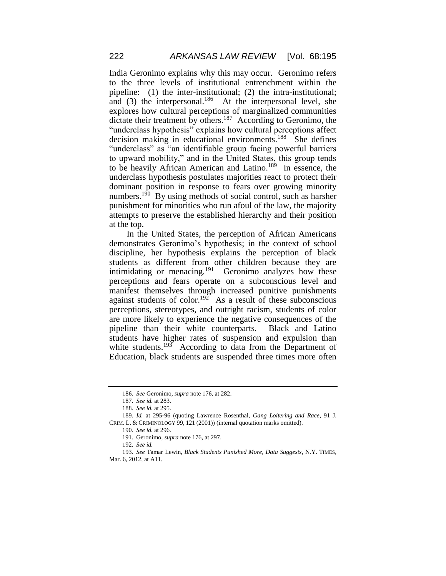India Geronimo explains why this may occur. Geronimo refers to the three levels of institutional entrenchment within the pipeline: (1) the inter-institutional; (2) the intra-institutional; and (3) the interpersonal.<sup>186</sup> At the interpersonal level, she explores how cultural perceptions of marginalized communities dictate their treatment by others.<sup>187</sup> According to Geronimo, the "underclass hypothesis" explains how cultural perceptions affect decision making in educational environments.<sup>188</sup> She defines "underclass" as "an identifiable group facing powerful barriers to upward mobility," and in the United States, this group tends to be heavily African American and Latino. 189 In essence, the underclass hypothesis postulates majorities react to protect their dominant position in response to fears over growing minority numbers.<sup>190</sup> By using methods of social control, such as harsher punishment for minorities who run afoul of the law, the majority attempts to preserve the established hierarchy and their position at the top.

In the United States, the perception of African Americans demonstrates Geronimo's hypothesis; in the context of school discipline, her hypothesis explains the perception of black students as different from other children because they are intimidating or menacing.<sup>191</sup> Geronimo analyzes how these perceptions and fears operate on a subconscious level and manifest themselves through increased punitive punishments against students of color.<sup>192</sup> As a result of these subconscious perceptions, stereotypes, and outright racism, students of color are more likely to experience the negative consequences of the pipeline than their white counterparts. Black and Latino students have higher rates of suspension and expulsion than white students.<sup>193</sup> According to data from the Department of Education, black students are suspended three times more often

<sup>186.</sup> *See* Geronimo, *supra* note 176, at 282.

<sup>187.</sup> *See id.* at 283.

<sup>188.</sup> *See id.* at 295.

<sup>189.</sup> *Id.* at 295-96 (quoting Lawrence Rosenthal, *Gang Loitering and Race*, 91 J. CRIM. L. & CRIMINOLOGY 99, 121 (2001)) (internal quotation marks omitted).

<sup>190.</sup> *See id.* at 296.

<sup>191.</sup> Geronimo, *supra* note 176, at 297.

<sup>192.</sup> *See id.*

<sup>193.</sup> *See* Tamar Lewin, *Black Students Punished More, Data Suggests*, N.Y. TIMES, Mar. 6, 2012, at A11.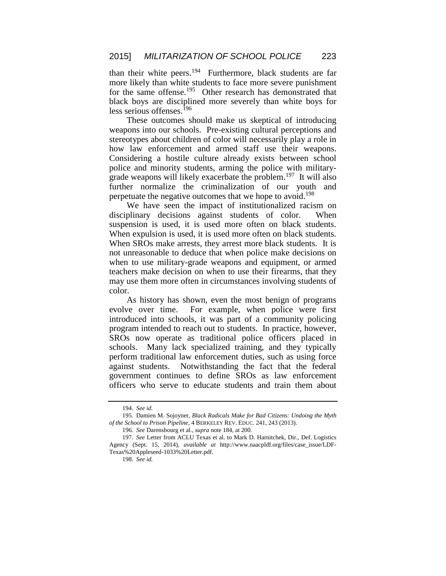than their white peers.<sup>194</sup> Furthermore, black students are far more likely than white students to face more severe punishment for the same offense.<sup>195</sup> Other research has demonstrated that black boys are disciplined more severely than white boys for less serious offenses.<sup>196</sup>

These outcomes should make us skeptical of introducing weapons into our schools. Pre-existing cultural perceptions and stereotypes about children of color will necessarily play a role in how law enforcement and armed staff use their weapons. Considering a hostile culture already exists between school police and minority students, arming the police with militarygrade weapons will likely exacerbate the problem.<sup>197</sup> It will also further normalize the criminalization of our youth and perpetuate the negative outcomes that we hope to avoid.<sup>198</sup>

We have seen the impact of institutionalized racism on disciplinary decisions against students of color. When suspension is used, it is used more often on black students. When expulsion is used, it is used more often on black students. When SROs make arrests, they arrest more black students. It is not unreasonable to deduce that when police make decisions on when to use military-grade weapons and equipment, or armed teachers make decision on when to use their firearms, that they may use them more often in circumstances involving students of color.

As history has shown, even the most benign of programs evolve over time. For example, when police were first introduced into schools, it was part of a community policing program intended to reach out to students. In practice, however, SROs now operate as traditional police officers placed in schools. Many lack specialized training, and they typically perform traditional law enforcement duties, such as using force against students. Notwithstanding the fact that the federal government continues to define SROs as law enforcement officers who serve to educate students and train them about

<sup>194.</sup> *See id.*

<sup>195.</sup> Damien M. Sojoyner, *Black Radicals Make for Bad Citizens: Undoing the Myth of the School to Prison Pipeline*, 4 BERKELEY REV. EDUC. 241, 243 (2013).

<sup>196.</sup> *See* Darensbourg et al., *supra* note 184, at 200.

<sup>197.</sup> *See* Letter from ACLU Texas et al. to Mark D. Harnitchek, Dir., Def. Logistics Agency (Sept. 15, 2014), *available at* http://www.naacpldf.org/files/case\_issue/LDF-Texas%20Appleseed-1033%20Letter.pdf.

<sup>198.</sup> *See id.*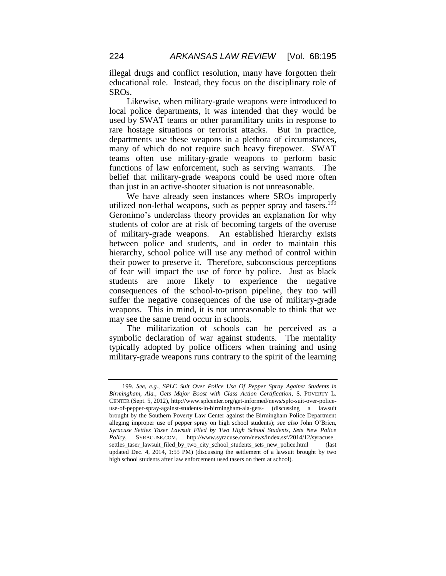illegal drugs and conflict resolution, many have forgotten their educational role. Instead, they focus on the disciplinary role of SROs.

Likewise, when military-grade weapons were introduced to local police departments, it was intended that they would be used by SWAT teams or other paramilitary units in response to rare hostage situations or terrorist attacks. But in practice, departments use these weapons in a plethora of circumstances, many of which do not require such heavy firepower. SWAT teams often use military-grade weapons to perform basic functions of law enforcement, such as serving warrants. The belief that military-grade weapons could be used more often than just in an active-shooter situation is not unreasonable.

We have already seen instances where SROs improperly utilized non-lethal weapons, such as pepper spray and tasers.<sup>199</sup> Geronimo's underclass theory provides an explanation for why students of color are at risk of becoming targets of the overuse of military-grade weapons. An established hierarchy exists between police and students, and in order to maintain this hierarchy, school police will use any method of control within their power to preserve it. Therefore, subconscious perceptions of fear will impact the use of force by police. Just as black students are more likely to experience the negative consequences of the school-to-prison pipeline, they too will suffer the negative consequences of the use of military-grade weapons. This in mind, it is not unreasonable to think that we may see the same trend occur in schools.

The militarization of schools can be perceived as a symbolic declaration of war against students. The mentality typically adopted by police officers when training and using military-grade weapons runs contrary to the spirit of the learning

<sup>199.</sup> *See, e.g.*, *SPLC Suit Over Police Use Of Pepper Spray Against Students in Birmingham, Ala., Gets Major Boost with Class Action Certification*, S. POVERTY L. CENTER (Sept. 5, 2012), http://www.splcenter.org/get-informed/news/splc-suit-over-policeuse-of-pepper-spray-against-students-in-birmingham-ala-gets- (discussing a lawsuit brought by the Southern Poverty Law Center against the Birmingham Police Department alleging improper use of pepper spray on high school students); *see also* John O'Brien, *Syracuse Settles Taser Lawsuit Filed by Two High School Students, Sets New Police Policy*, SYRACUSE.COM, http://www.syracuse.com/news/index.ssf/2014/12/syracuse\_ settles\_taser\_lawsuit\_filed\_by\_two\_city\_school\_students\_sets\_new\_police.html (last updated Dec. 4, 2014, 1:55 PM) (discussing the settlement of a lawsuit brought by two high school students after law enforcement used tasers on them at school).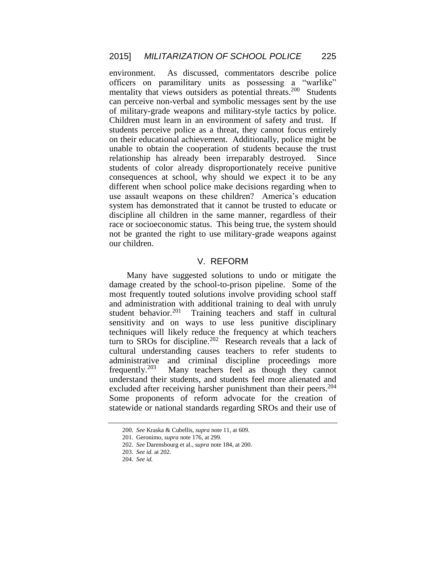environment. As discussed, commentators describe police officers on paramilitary units as possessing a "warlike" mentality that views outsiders as potential threats.<sup>200</sup> Students can perceive non-verbal and symbolic messages sent by the use of military-grade weapons and military-style tactics by police. Children must learn in an environment of safety and trust. If students perceive police as a threat, they cannot focus entirely on their educational achievement. Additionally, police might be unable to obtain the cooperation of students because the trust relationship has already been irreparably destroyed. Since students of color already disproportionately receive punitive consequences at school, why should we expect it to be any different when school police make decisions regarding when to use assault weapons on these children? America's education system has demonstrated that it cannot be trusted to educate or discipline all children in the same manner, regardless of their race or socioeconomic status. This being true, the system should not be granted the right to use military-grade weapons against our children.

## V. REFORM

Many have suggested solutions to undo or mitigate the damage created by the school-to-prison pipeline. Some of the most frequently touted solutions involve providing school staff and administration with additional training to deal with unruly student behavior.<sup>201</sup> Training teachers and staff in cultural sensitivity and on ways to use less punitive disciplinary techniques will likely reduce the frequency at which teachers turn to SROs for discipline.<sup>202</sup> Research reveals that a lack of cultural understanding causes teachers to refer students to administrative and criminal discipline proceedings more frequently. $203$  Many teachers feel as though they cannot understand their students, and students feel more alienated and excluded after receiving harsher punishment than their peers.<sup>204</sup> Some proponents of reform advocate for the creation of statewide or national standards regarding SROs and their use of

<sup>200.</sup> *See* Kraska & Cubellis, *supra* note 11, at 609.

<sup>201.</sup> Geronimo, *supra* note 176, at 299.

<sup>202.</sup> *See* Darensbourg et al., *supra* note 184, at 200.

<sup>203.</sup> *See id.* at 202.

<sup>204.</sup> *See id.*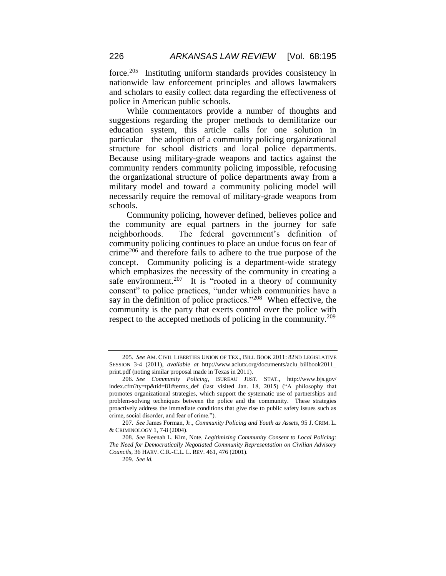force.<sup>205</sup> Instituting uniform standards provides consistency in nationwide law enforcement principles and allows lawmakers and scholars to easily collect data regarding the effectiveness of police in American public schools.

While commentators provide a number of thoughts and suggestions regarding the proper methods to demilitarize our education system, this article calls for one solution in particular—the adoption of a community policing organizational structure for school districts and local police departments. Because using military-grade weapons and tactics against the community renders community policing impossible, refocusing the organizational structure of police departments away from a military model and toward a community policing model will necessarily require the removal of military-grade weapons from schools.

Community policing, however defined, believes police and the community are equal partners in the journey for safe neighborhoods. The federal government's definition of community policing continues to place an undue focus on fear of crime<sup>206</sup> and therefore fails to adhere to the true purpose of the concept. Community policing is a department-wide strategy which emphasizes the necessity of the community in creating a safe environment.<sup>207</sup> It is "rooted in a theory of community consent" to police practices, "under which communities have a say in the definition of police practices."<sup>208</sup> When effective, the community is the party that exerts control over the police with respect to the accepted methods of policing in the community.<sup>209</sup>

<sup>205.</sup> *See* AM. CIVIL LIBERTIES UNION OF TEX., BILL BOOK 2011: 82ND LEGISLATIVE SESSION 3-4 (2011), *available at* http://www.aclutx.org/documents/aclu\_billbook2011\_ print.pdf (noting similar proposal made in Texas in 2011).

<sup>206.</sup> *See Community Policing*, BUREAU JUST. STAT., http://www.bjs.gov/ index.cfm?ty=tp&tid=81#terms\_def (last visited Jan. 18, 2015) ("A philosophy that promotes organizational strategies, which support the systematic use of partnerships and problem-solving techniques between the police and the community. These strategies proactively address the immediate conditions that give rise to public safety issues such as crime, social disorder, and fear of crime.").

<sup>207.</sup> *See* James Forman, Jr., *Community Policing and Youth as Assets*, 95 J. CRIM. L. & CRIMINOLOGY 1, 7-8 (2004).

<sup>208.</sup> *See* Reenah L. Kim, Note, *Legitimizing Community Consent to Local Policing: The Need for Democratically Negotiated Community Representation on Civilian Advisory Councils*, 36 HARV. C.R.-C.L. L. REV. 461, 476 (2001).

<sup>209.</sup> *See id.*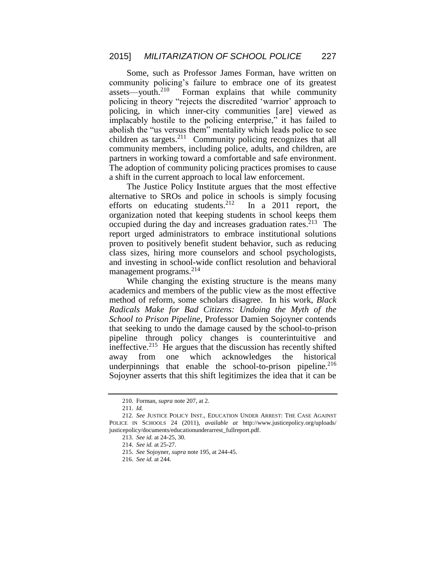Some, such as Professor James Forman, have written on community policing's failure to embrace one of its greatest assets—youth. $210$  Forman explains that while community policing in theory "rejects the discredited 'warrior' approach to policing, in which inner-city communities [are] viewed as implacably hostile to the policing enterprise," it has failed to abolish the "us versus them" mentality which leads police to see children as targets.<sup>211</sup> Community policing recognizes that all community members, including police, adults, and children, are partners in working toward a comfortable and safe environment. The adoption of community policing practices promises to cause a shift in the current approach to local law enforcement.

The Justice Policy Institute argues that the most effective alternative to SROs and police in schools is simply focusing efforts on educating students.<sup>212</sup> In a 2011 report, the organization noted that keeping students in school keeps them occupied during the day and increases graduation rates.<sup>213</sup> The report urged administrators to embrace institutional solutions proven to positively benefit student behavior, such as reducing class sizes, hiring more counselors and school psychologists, and investing in school-wide conflict resolution and behavioral management programs.<sup>214</sup>

While changing the existing structure is the means many academics and members of the public view as the most effective method of reform, some scholars disagree. In his work, *Black Radicals Make for Bad Citizens: Undoing the Myth of the School to Prison Pipeline*, Professor Damien Sojoyner contends that seeking to undo the damage caused by the school-to-prison pipeline through policy changes is counterintuitive and ineffective.<sup>215</sup> He argues that the discussion has recently shifted away from one which acknowledges the historical underpinnings that enable the school-to-prison pipeline.<sup>216</sup> Sojoyner asserts that this shift legitimizes the idea that it can be

<sup>210.</sup> Forman, *supra* note 207, at 2.

<sup>211.</sup> *Id.*

<sup>212.</sup> *See* JUSTICE POLICY INST., EDUCATION UNDER ARREST: THE CASE AGAINST POLICE IN SCHOOLS 24 (2011), *available at* http://www.justicepolicy.org/uploads/ justicepolicy/documents/educationunderarrest\_fullreport.pdf.

<sup>213.</sup> *See id.* at 24-25, 30.

<sup>214.</sup> *See id.* at 25-27.

<sup>215.</sup> *See* Sojoyner, *supra* note 195, at 244-45.

<sup>216.</sup> *See id.* at 244.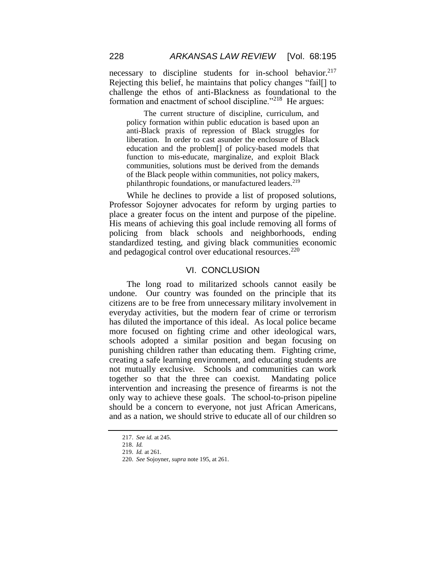necessary to discipline students for in-school behavior.<sup>217</sup> Rejecting this belief, he maintains that policy changes "fail[] to challenge the ethos of anti-Blackness as foundational to the formation and enactment of school discipline."<sup>218</sup> He argues:

The current structure of discipline, curriculum, and policy formation within public education is based upon an anti-Black praxis of repression of Black struggles for liberation. In order to cast asunder the enclosure of Black education and the problem[] of policy-based models that function to mis-educate, marginalize, and exploit Black communities, solutions must be derived from the demands of the Black people within communities, not policy makers, philanthropic foundations, or manufactured leaders.<sup>219</sup>

While he declines to provide a list of proposed solutions, Professor Sojoyner advocates for reform by urging parties to place a greater focus on the intent and purpose of the pipeline. His means of achieving this goal include removing all forms of policing from black schools and neighborhoods, ending standardized testing, and giving black communities economic and pedagogical control over educational resources.<sup>220</sup>

#### VI. CONCLUSION

The long road to militarized schools cannot easily be undone. Our country was founded on the principle that its citizens are to be free from unnecessary military involvement in everyday activities, but the modern fear of crime or terrorism has diluted the importance of this ideal. As local police became more focused on fighting crime and other ideological wars, schools adopted a similar position and began focusing on punishing children rather than educating them. Fighting crime, creating a safe learning environment, and educating students are not mutually exclusive. Schools and communities can work together so that the three can coexist. Mandating police intervention and increasing the presence of firearms is not the only way to achieve these goals. The school-to-prison pipeline should be a concern to everyone, not just African Americans, and as a nation, we should strive to educate all of our children so

<sup>217.</sup> *See id.* at 245.

<sup>218.</sup> *Id.*

<sup>219.</sup> *Id.* at 261.

<sup>220.</sup> *See* Sojoyner, *supra* note 195, at 261.